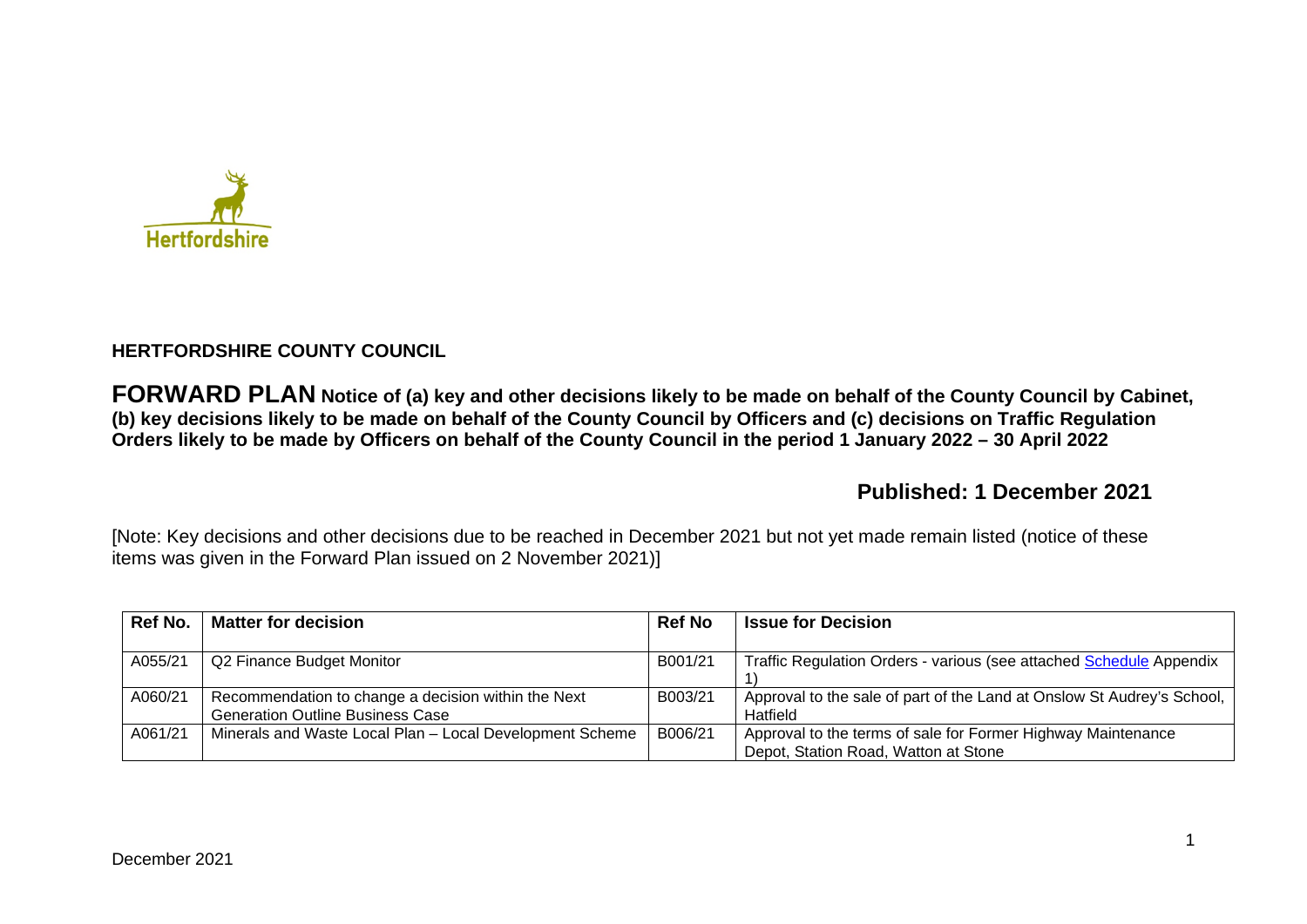

## **HERTFORDSHIRE COUNTY COUNCIL**

**FORWARD PLAN Notice of (a) key and other decisions likely to be made on behalf of the County Council by Cabinet, (b) key decisions likely to be made on behalf of the County Council by Officers and (c) decisions on Traffic Regulation Orders likely to be made by Officers on behalf of the County Council in the period 1 January 2022 – 30 April 2022** 

# **Published: 1 December 2021**

[Note: Key decisions and other decisions due to be reached in December 2021 but not yet made remain listed (notice of these items was given in the Forward Plan issued on 2 November 2021)]

| Ref No. | <b>Matter for decision</b>                                                                     | <b>Ref No</b> | <b>Issue for Decision</b>                                                                            |
|---------|------------------------------------------------------------------------------------------------|---------------|------------------------------------------------------------------------------------------------------|
| A055/21 | Q2 Finance Budget Monitor                                                                      | B001/21       | Traffic Regulation Orders - various (see attached Schedule Appendix                                  |
| A060/21 | Recommendation to change a decision within the Next<br><b>Generation Outline Business Case</b> | B003/21       | Approval to the sale of part of the Land at Onslow St Audrey's School,<br>Hatfield                   |
| A061/21 | Minerals and Waste Local Plan - Local Development Scheme                                       | B006/21       | Approval to the terms of sale for Former Highway Maintenance<br>Depot, Station Road, Watton at Stone |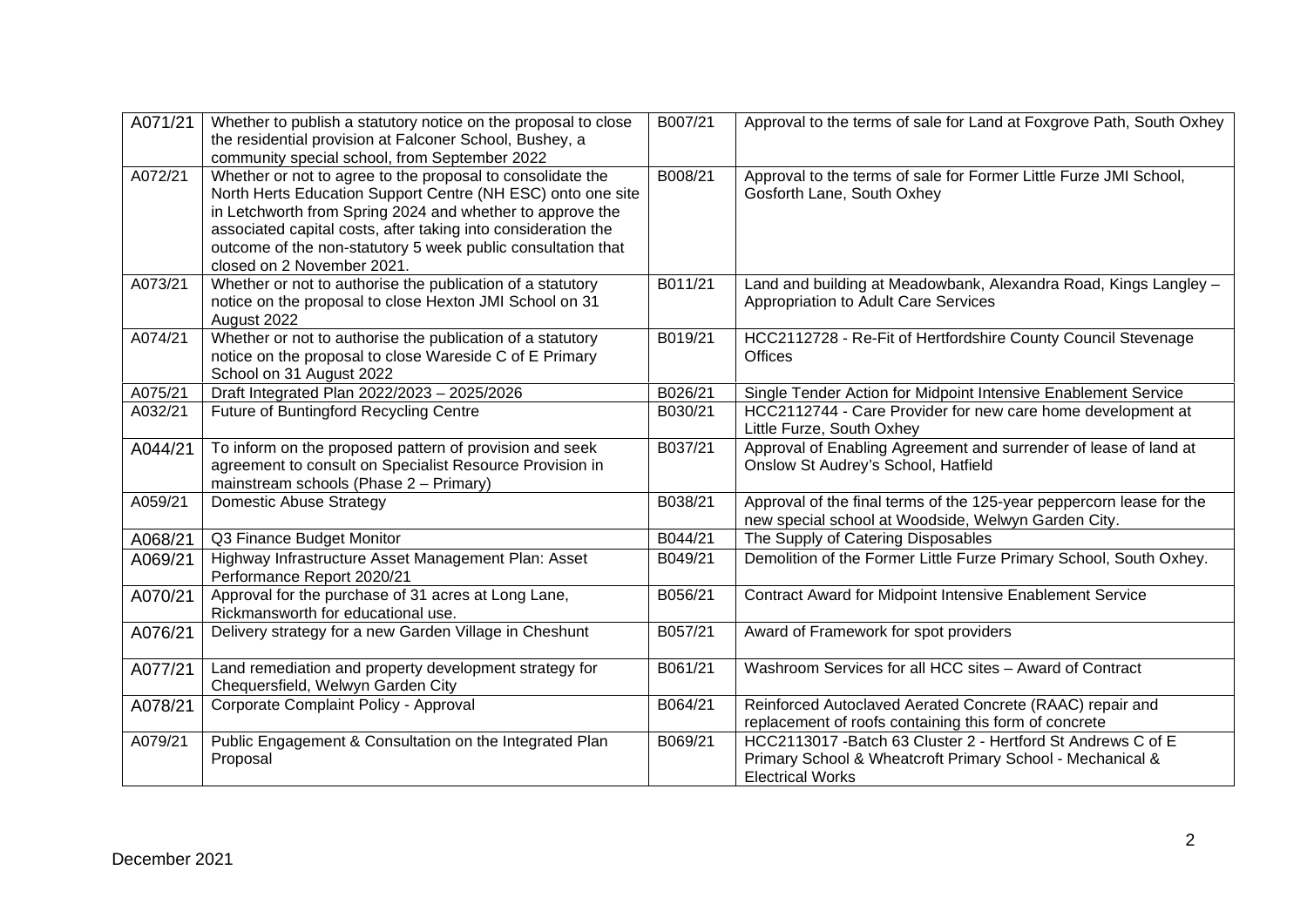| A071/21 | Whether to publish a statutory notice on the proposal to close<br>the residential provision at Falconer School, Bushey, a<br>community special school, from September 2022                                                                                                                                                                            | B007/21 | Approval to the terms of sale for Land at Foxgrove Path, South Oxhey                                                                                 |
|---------|-------------------------------------------------------------------------------------------------------------------------------------------------------------------------------------------------------------------------------------------------------------------------------------------------------------------------------------------------------|---------|------------------------------------------------------------------------------------------------------------------------------------------------------|
| A072/21 | Whether or not to agree to the proposal to consolidate the<br>North Herts Education Support Centre (NH ESC) onto one site<br>in Letchworth from Spring 2024 and whether to approve the<br>associated capital costs, after taking into consideration the<br>outcome of the non-statutory 5 week public consultation that<br>closed on 2 November 2021. | B008/21 | Approval to the terms of sale for Former Little Furze JMI School,<br>Gosforth Lane, South Oxhey                                                      |
| A073/21 | Whether or not to authorise the publication of a statutory<br>notice on the proposal to close Hexton JMI School on 31<br>August 2022                                                                                                                                                                                                                  | B011/21 | Land and building at Meadowbank, Alexandra Road, Kings Langley -<br>Appropriation to Adult Care Services                                             |
| A074/21 | Whether or not to authorise the publication of a statutory<br>notice on the proposal to close Wareside C of E Primary<br>School on 31 August 2022                                                                                                                                                                                                     | B019/21 | HCC2112728 - Re-Fit of Hertfordshire County Council Stevenage<br><b>Offices</b>                                                                      |
| A075/21 | Draft Integrated Plan 2022/2023 - 2025/2026                                                                                                                                                                                                                                                                                                           | B026/21 | Single Tender Action for Midpoint Intensive Enablement Service                                                                                       |
| A032/21 | Future of Buntingford Recycling Centre                                                                                                                                                                                                                                                                                                                | B030/21 | HCC2112744 - Care Provider for new care home development at<br>Little Furze, South Oxhey                                                             |
| A044/21 | To inform on the proposed pattern of provision and seek<br>agreement to consult on Specialist Resource Provision in<br>mainstream schools (Phase 2 - Primary)                                                                                                                                                                                         | B037/21 | Approval of Enabling Agreement and surrender of lease of land at<br>Onslow St Audrey's School, Hatfield                                              |
| A059/21 | Domestic Abuse Strategy                                                                                                                                                                                                                                                                                                                               | B038/21 | Approval of the final terms of the 125-year peppercorn lease for the<br>new special school at Woodside, Welwyn Garden City.                          |
| A068/21 | Q3 Finance Budget Monitor                                                                                                                                                                                                                                                                                                                             | B044/21 | The Supply of Catering Disposables                                                                                                                   |
| A069/21 | Highway Infrastructure Asset Management Plan: Asset<br>Performance Report 2020/21                                                                                                                                                                                                                                                                     | B049/21 | Demolition of the Former Little Furze Primary School, South Oxhey.                                                                                   |
| A070/21 | Approval for the purchase of 31 acres at Long Lane,<br>Rickmansworth for educational use.                                                                                                                                                                                                                                                             | B056/21 | Contract Award for Midpoint Intensive Enablement Service                                                                                             |
| A076/21 | Delivery strategy for a new Garden Village in Cheshunt                                                                                                                                                                                                                                                                                                | B057/21 | Award of Framework for spot providers                                                                                                                |
| A077/21 | Land remediation and property development strategy for<br>Chequersfield, Welwyn Garden City                                                                                                                                                                                                                                                           | B061/21 | Washroom Services for all HCC sites - Award of Contract                                                                                              |
| A078/21 | Corporate Complaint Policy - Approval                                                                                                                                                                                                                                                                                                                 | B064/21 | Reinforced Autoclaved Aerated Concrete (RAAC) repair and<br>replacement of roofs containing this form of concrete                                    |
| A079/21 | Public Engagement & Consultation on the Integrated Plan<br>Proposal                                                                                                                                                                                                                                                                                   | B069/21 | HCC2113017 - Batch 63 Cluster 2 - Hertford St Andrews C of E<br>Primary School & Wheatcroft Primary School - Mechanical &<br><b>Electrical Works</b> |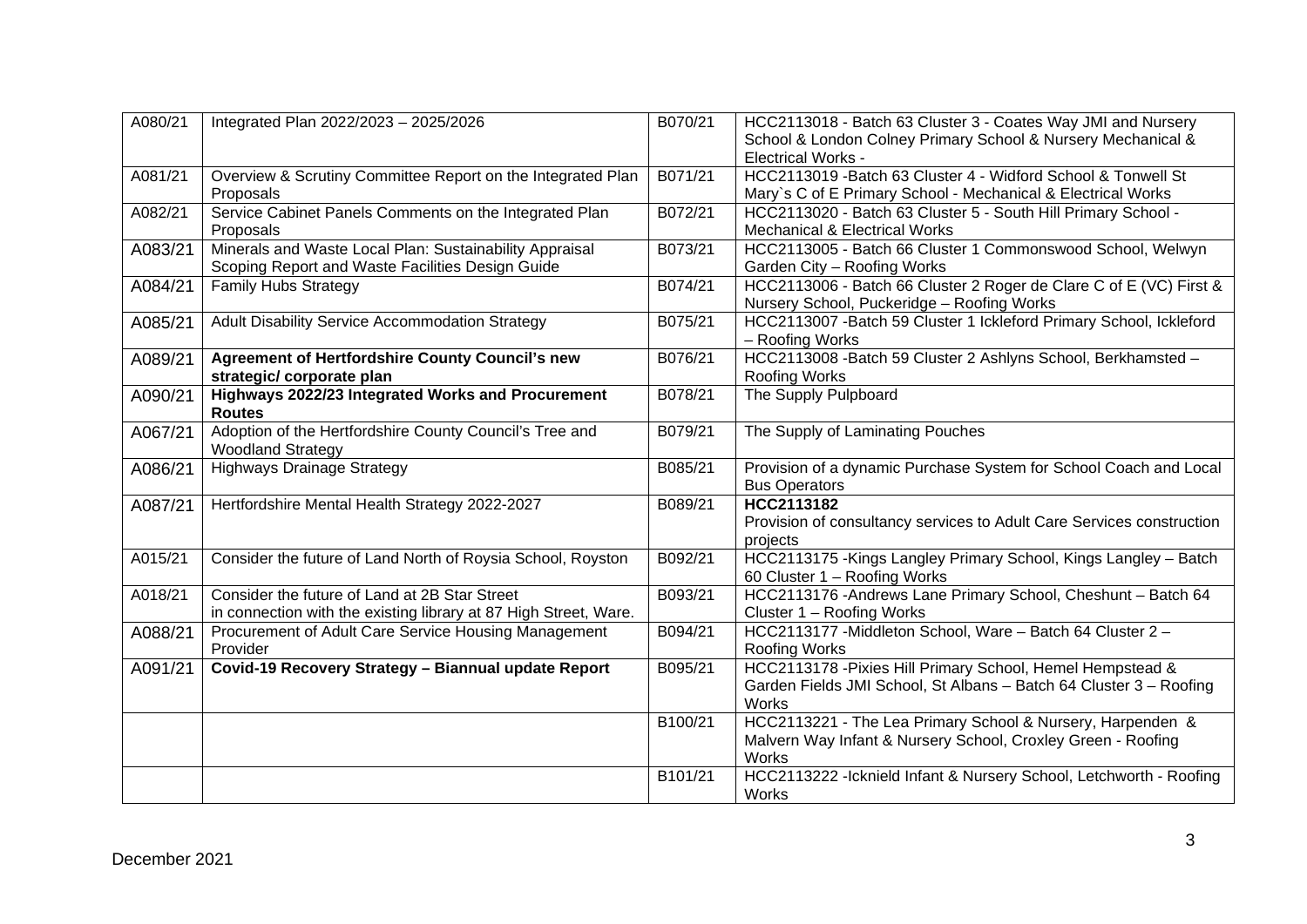| A080/21 | Integrated Plan 2022/2023 - 2025/2026                                                                             | B070/21 | HCC2113018 - Batch 63 Cluster 3 - Coates Way JMI and Nursery<br>School & London Colney Primary School & Nursery Mechanical &<br><b>Electrical Works -</b> |
|---------|-------------------------------------------------------------------------------------------------------------------|---------|-----------------------------------------------------------------------------------------------------------------------------------------------------------|
| A081/21 | Overview & Scrutiny Committee Report on the Integrated Plan<br>Proposals                                          | B071/21 | HCC2113019 - Batch 63 Cluster 4 - Widford School & Tonwell St<br>Mary's C of E Primary School - Mechanical & Electrical Works                             |
| A082/21 | Service Cabinet Panels Comments on the Integrated Plan<br>Proposals                                               | B072/21 | HCC2113020 - Batch 63 Cluster 5 - South Hill Primary School -<br><b>Mechanical &amp; Electrical Works</b>                                                 |
| A083/21 | Minerals and Waste Local Plan: Sustainability Appraisal<br>Scoping Report and Waste Facilities Design Guide       | B073/21 | HCC2113005 - Batch 66 Cluster 1 Commonswood School, Welwyn<br>Garden City - Roofing Works                                                                 |
| A084/21 | <b>Family Hubs Strategy</b>                                                                                       | B074/21 | HCC2113006 - Batch 66 Cluster 2 Roger de Clare C of E (VC) First &<br>Nursery School, Puckeridge - Roofing Works                                          |
| A085/21 | Adult Disability Service Accommodation Strategy                                                                   | B075/21 | HCC2113007 - Batch 59 Cluster 1 Ickleford Primary School, Ickleford<br>- Roofing Works                                                                    |
| A089/21 | <b>Agreement of Hertfordshire County Council's new</b><br>strategic/ corporate plan                               | B076/21 | HCC2113008 - Batch 59 Cluster 2 Ashlyns School, Berkhamsted -<br><b>Roofing Works</b>                                                                     |
| A090/21 | Highways 2022/23 Integrated Works and Procurement<br><b>Routes</b>                                                | B078/21 | The Supply Pulpboard                                                                                                                                      |
| A067/21 | Adoption of the Hertfordshire County Council's Tree and<br><b>Woodland Strategy</b>                               | B079/21 | The Supply of Laminating Pouches                                                                                                                          |
| A086/21 | <b>Highways Drainage Strategy</b>                                                                                 | B085/21 | Provision of a dynamic Purchase System for School Coach and Local<br><b>Bus Operators</b>                                                                 |
| A087/21 | Hertfordshire Mental Health Strategy 2022-2027                                                                    | B089/21 | HCC2113182<br>Provision of consultancy services to Adult Care Services construction<br>projects                                                           |
| A015/21 | Consider the future of Land North of Roysia School, Royston                                                       | B092/21 | HCC2113175 - Kings Langley Primary School, Kings Langley - Batch<br>60 Cluster 1 - Roofing Works                                                          |
| A018/21 | Consider the future of Land at 2B Star Street<br>in connection with the existing library at 87 High Street, Ware. | B093/21 | HCC2113176 -Andrews Lane Primary School, Cheshunt - Batch 64<br>Cluster 1 - Roofing Works                                                                 |
| A088/21 | Procurement of Adult Care Service Housing Management<br>Provider                                                  | B094/21 | HCC2113177 - Middleton School, Ware - Batch 64 Cluster 2 -<br><b>Roofing Works</b>                                                                        |
| A091/21 | Covid-19 Recovery Strategy - Biannual update Report                                                               | B095/21 | HCC2113178 - Pixies Hill Primary School, Hemel Hempstead &<br>Garden Fields JMI School, St Albans - Batch 64 Cluster 3 - Roofing<br>Works                 |
|         |                                                                                                                   | B100/21 | HCC2113221 - The Lea Primary School & Nursery, Harpenden &<br>Malvern Way Infant & Nursery School, Croxley Green - Roofing<br>Works                       |
|         |                                                                                                                   | B101/21 | HCC2113222 - Icknield Infant & Nursery School, Letchworth - Roofing<br>Works                                                                              |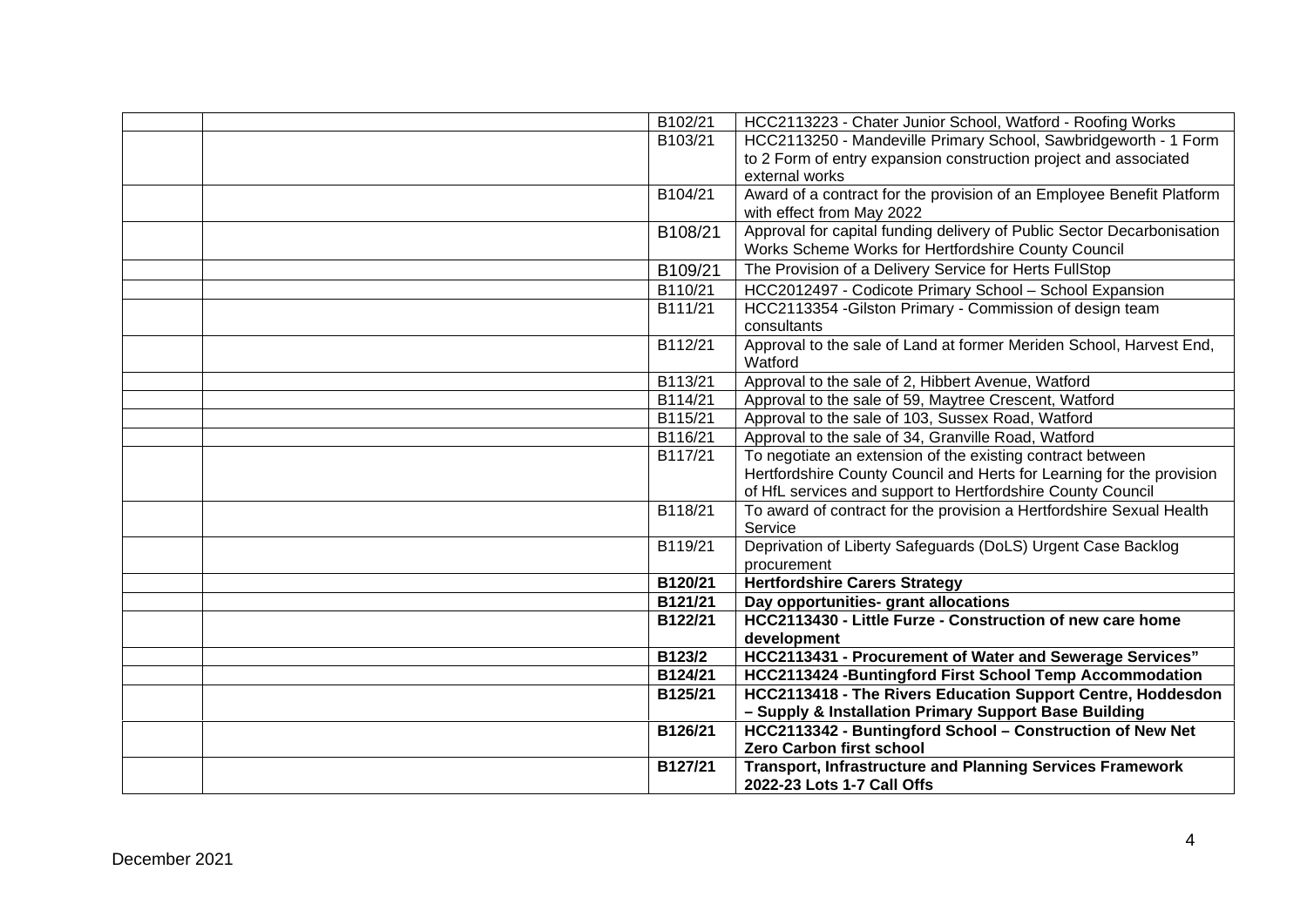| B102/21              | HCC2113223 - Chater Junior School, Watford - Roofing Works             |
|----------------------|------------------------------------------------------------------------|
| B103/21              | HCC2113250 - Mandeville Primary School, Sawbridgeworth - 1 Form        |
|                      | to 2 Form of entry expansion construction project and associated       |
|                      | external works                                                         |
| B104/21              | Award of a contract for the provision of an Employee Benefit Platform  |
|                      | with effect from May 2022                                              |
| B108/21              | Approval for capital funding delivery of Public Sector Decarbonisation |
|                      | Works Scheme Works for Hertfordshire County Council                    |
| B109/21              | The Provision of a Delivery Service for Herts FullStop                 |
| B110/21              | HCC2012497 - Codicote Primary School - School Expansion                |
| B111/21              | HCC2113354 - Gilston Primary - Commission of design team               |
|                      | consultants                                                            |
| $\overline{B112/21}$ | Approval to the sale of Land at former Meriden School, Harvest End,    |
|                      | Watford                                                                |
| B113/21              | Approval to the sale of 2, Hibbert Avenue, Watford                     |
| B114/21              | Approval to the sale of 59, Maytree Crescent, Watford                  |
| B115/21              | Approval to the sale of 103, Sussex Road, Watford                      |
| B116/21              | Approval to the sale of 34, Granville Road, Watford                    |
| B117/21              | To negotiate an extension of the existing contract between             |
|                      | Hertfordshire County Council and Herts for Learning for the provision  |
|                      | of HfL services and support to Hertfordshire County Council            |
| B118/21              | To award of contract for the provision a Hertfordshire Sexual Health   |
|                      | Service                                                                |
| B119/21              | Deprivation of Liberty Safeguards (DoLS) Urgent Case Backlog           |
|                      | procurement                                                            |
| B120/21              | <b>Hertfordshire Carers Strategy</b>                                   |
| B121/21              | Day opportunities- grant allocations                                   |
| B122/21              | HCC2113430 - Little Furze - Construction of new care home              |
|                      | development                                                            |
| B123/2               | HCC2113431 - Procurement of Water and Sewerage Services"               |
| B124/21              | HCC2113424 - Buntingford First School Temp Accommodation               |
| B125/21              | HCC2113418 - The Rivers Education Support Centre, Hoddesdon            |
|                      | - Supply & Installation Primary Support Base Building                  |
| B126/21              | HCC2113342 - Buntingford School - Construction of New Net              |
|                      | <b>Zero Carbon first school</b>                                        |
| B127/21              | <b>Transport, Infrastructure and Planning Services Framework</b>       |
|                      | 2022-23 Lots 1-7 Call Offs                                             |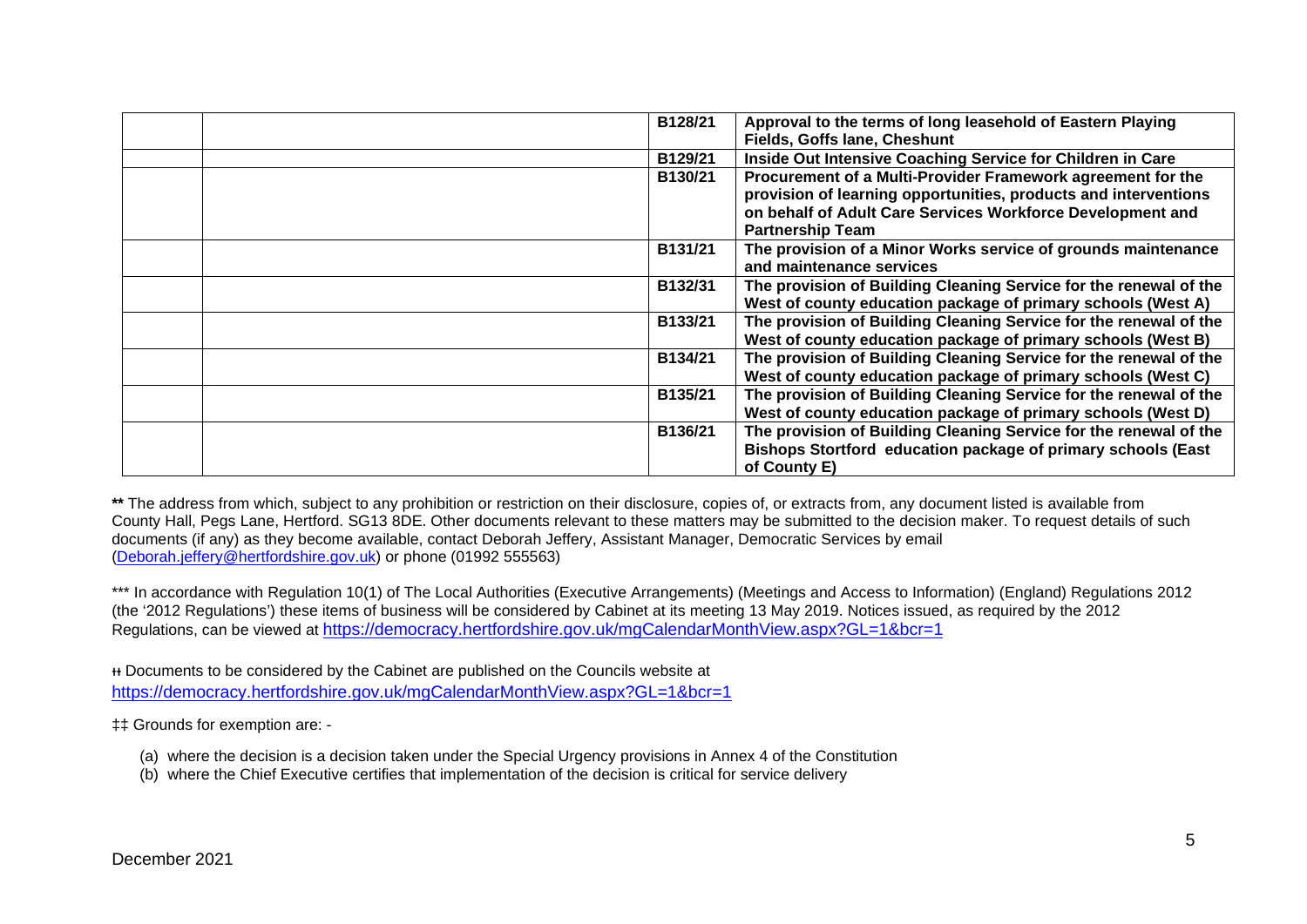| Approval to the terms of long leasehold of Eastern Playing<br>B128/21<br>Fields, Goffs lane, Cheshunt                                                                                                                              |
|------------------------------------------------------------------------------------------------------------------------------------------------------------------------------------------------------------------------------------|
| Inside Out Intensive Coaching Service for Children in Care<br>B129/21                                                                                                                                                              |
| Procurement of a Multi-Provider Framework agreement for the<br>B130/21<br>provision of learning opportunities, products and interventions<br>on behalf of Adult Care Services Workforce Development and<br><b>Partnership Team</b> |
| The provision of a Minor Works service of grounds maintenance<br>B131/21<br>and maintenance services                                                                                                                               |
| The provision of Building Cleaning Service for the renewal of the<br>B132/31<br>West of county education package of primary schools (West A)                                                                                       |
| The provision of Building Cleaning Service for the renewal of the<br>B133/21<br>West of county education package of primary schools (West B)                                                                                       |
| The provision of Building Cleaning Service for the renewal of the<br>B134/21<br>West of county education package of primary schools (West C)                                                                                       |
| The provision of Building Cleaning Service for the renewal of the<br>B135/21<br>West of county education package of primary schools (West D)                                                                                       |
| The provision of Building Cleaning Service for the renewal of the<br>B136/21<br>Bishops Stortford education package of primary schools (East<br>of County E)                                                                       |

\*\* The address from which, subject to any prohibition or restriction on their disclosure, copies of, or extracts from, any document listed is available from County Hall, Pegs Lane, Hertford. SG13 8DE. Other documents relevant to these matters may be submitted to the decision maker. To request details of such documents (if any) as they become available, contact Deborah Jeffery, Assistant Manager, Democratic Services by email [\(Deborah.jeffery@hertfordshire.gov.uk\)](mailto:Deborah.jeffery@hertfordshire.gov.uk) or phone (01992 555563)

\*\*\* In accordance with Regulation 10(1) of The Local Authorities (Executive Arrangements) (Meetings and Access to Information) (England) Regulations 2012 (the '2012 Regulations') these items of business will be considered by Cabinet at its meeting 13 May 2019. Notices issued, as required by the 2012 Regulations, can be viewed at <https://democracy.hertfordshire.gov.uk/mgCalendarMonthView.aspx?GL=1&bcr=1>

ᵻᵻ Documents to be considered by the Cabinet are published on the Councils website at <https://democracy.hertfordshire.gov.uk/mgCalendarMonthView.aspx?GL=1&bcr=1>

‡‡ Grounds for exemption are: -

- (a) where the decision is a decision taken under the Special Urgency provisions in Annex 4 of the Constitution
- (b) where the Chief Executive certifies that implementation of the decision is critical for service delivery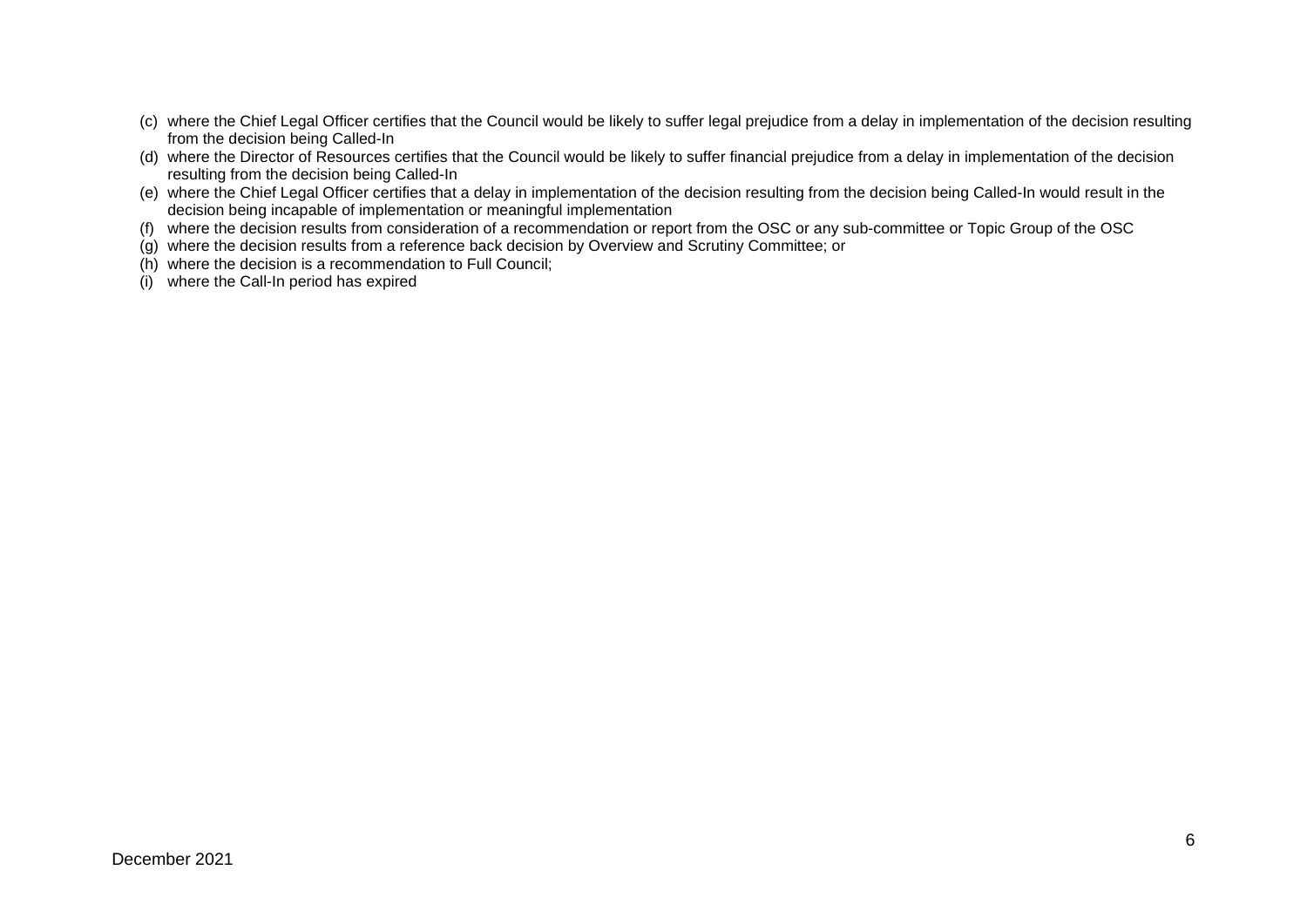- (c) where the Chief Legal Officer certifies that the Council would be likely to suffer legal prejudice from a delay in implementation of the decision resulting from the decision being Called-In
- (d) where the Director of Resources certifies that the Council would be likely to suffer financial prejudice from a delay in implementation of the decision resulting from the decision being Called-In
- (e) where the Chief Legal Officer certifies that a delay in implementation of the decision resulting from the decision being Called-In would result in the decision being incapable of implementation or meaningful implementation
- (f) where the decision results from consideration of a recommendation or report from the OSC or any sub-committee or Topic Group of the OSC
- (g) where the decision results from a reference back decision by Overview and Scrutiny Committee; or
- (h) where the decision is a recommendation to Full Council;
- (i) where the Call-In period has expired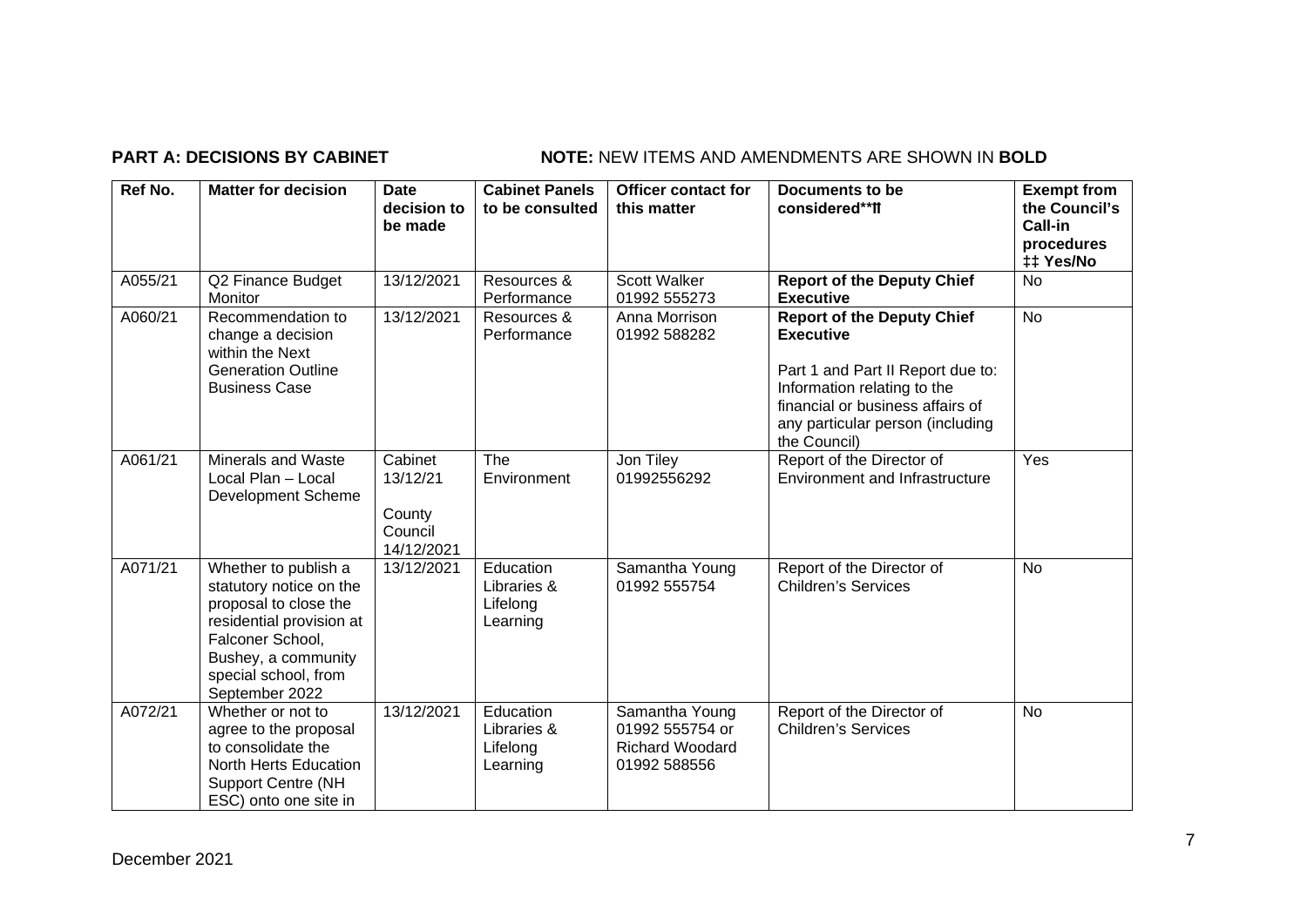## **PART A: DECISIONS BY CABINET NOTE:** NEW ITEMS AND AMENDMENTS ARE SHOWN IN BOLD

| Ref No. | <b>Matter for decision</b>                                                                                                                                                                | <b>Date</b><br>decision to<br>be made                  | <b>Cabinet Panels</b><br>to be consulted         | <b>Officer contact for</b><br>this matter                                   | Documents to be<br>considered**ff                                                                                                                                                                                 | <b>Exempt from</b><br>the Council's<br>Call-in<br>procedures<br>‡‡ Yes/No |
|---------|-------------------------------------------------------------------------------------------------------------------------------------------------------------------------------------------|--------------------------------------------------------|--------------------------------------------------|-----------------------------------------------------------------------------|-------------------------------------------------------------------------------------------------------------------------------------------------------------------------------------------------------------------|---------------------------------------------------------------------------|
| A055/21 | Q2 Finance Budget<br>Monitor                                                                                                                                                              | 13/12/2021                                             | Resources &<br>Performance                       | Scott Walker<br>01992 555273                                                | <b>Report of the Deputy Chief</b><br><b>Executive</b>                                                                                                                                                             | <b>No</b>                                                                 |
| A060/21 | Recommendation to<br>change a decision<br>within the Next<br><b>Generation Outline</b><br><b>Business Case</b>                                                                            | 13/12/2021                                             | Resources &<br>Performance                       | Anna Morrison<br>01992 588282                                               | <b>Report of the Deputy Chief</b><br><b>Executive</b><br>Part 1 and Part II Report due to:<br>Information relating to the<br>financial or business affairs of<br>any particular person (including<br>the Council) | <b>No</b>                                                                 |
| A061/21 | Minerals and Waste<br>Local Plan - Local<br>Development Scheme                                                                                                                            | Cabinet<br>13/12/21<br>County<br>Council<br>14/12/2021 | The<br>Environment                               | Jon Tiley<br>01992556292                                                    | Report of the Director of<br><b>Environment and Infrastructure</b>                                                                                                                                                | Yes                                                                       |
| A071/21 | Whether to publish a<br>statutory notice on the<br>proposal to close the<br>residential provision at<br>Falconer School,<br>Bushey, a community<br>special school, from<br>September 2022 | 13/12/2021                                             | Education<br>Libraries &<br>Lifelong<br>Learning | Samantha Young<br>01992 555754                                              | Report of the Director of<br><b>Children's Services</b>                                                                                                                                                           | <b>No</b>                                                                 |
| A072/21 | Whether or not to<br>agree to the proposal<br>to consolidate the<br>North Herts Education<br><b>Support Centre (NH</b><br>ESC) onto one site in                                           | 13/12/2021                                             | Education<br>Libraries &<br>Lifelong<br>Learning | Samantha Young<br>01992 555754 or<br><b>Richard Woodard</b><br>01992 588556 | Report of the Director of<br><b>Children's Services</b>                                                                                                                                                           | <b>No</b>                                                                 |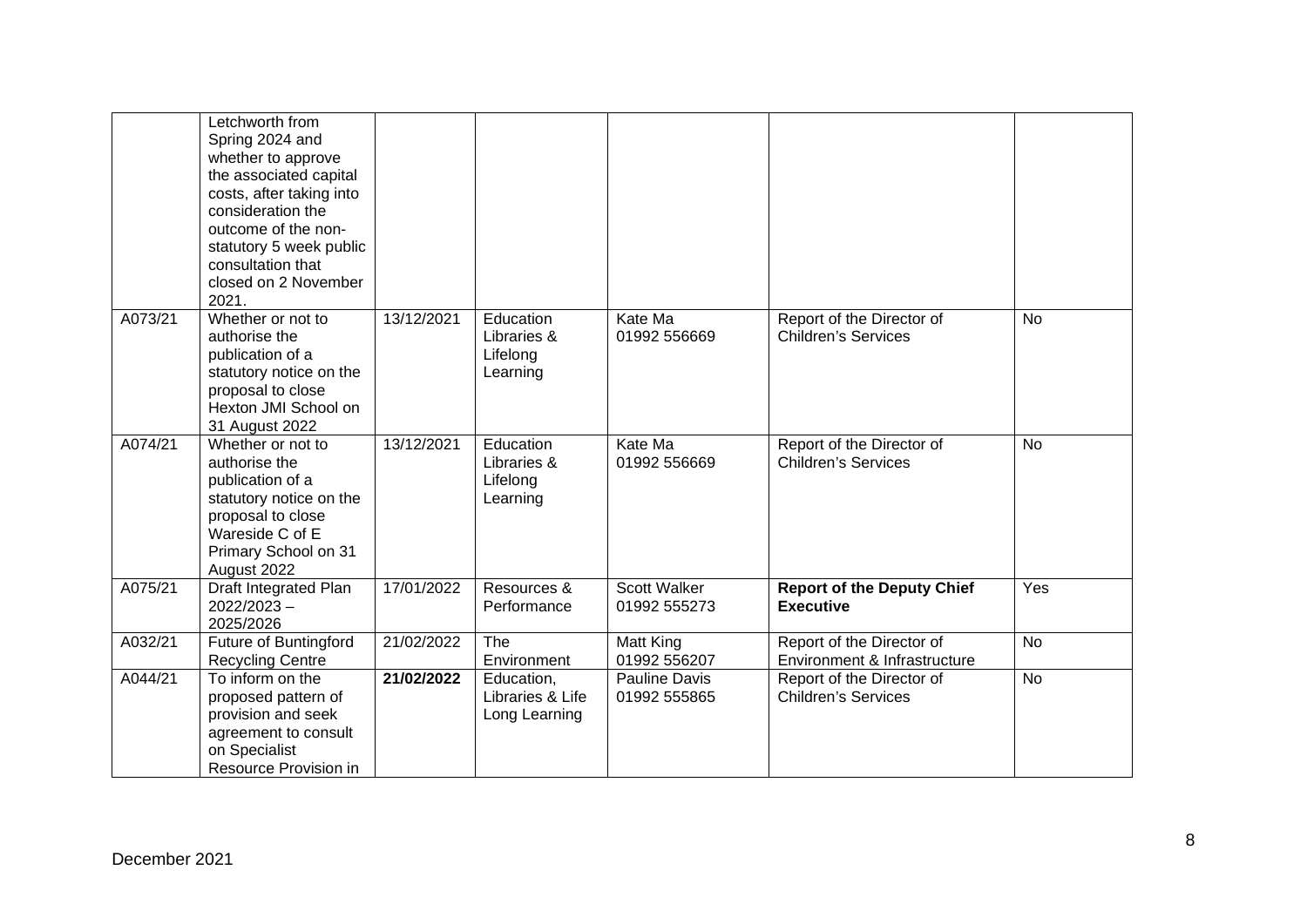|         | Letchworth from<br>Spring 2024 and<br>whether to approve<br>the associated capital<br>costs, after taking into<br>consideration the<br>outcome of the non-<br>statutory 5 week public<br>consultation that<br>closed on 2 November<br>2021. |            |                                                  |                               |                                                           |           |
|---------|---------------------------------------------------------------------------------------------------------------------------------------------------------------------------------------------------------------------------------------------|------------|--------------------------------------------------|-------------------------------|-----------------------------------------------------------|-----------|
| A073/21 | Whether or not to<br>authorise the<br>publication of a<br>statutory notice on the<br>proposal to close<br>Hexton JMI School on<br>31 August 2022                                                                                            | 13/12/2021 | Education<br>Libraries &<br>Lifelong<br>Learning | Kate Ma<br>01992 556669       | Report of the Director of<br><b>Children's Services</b>   | <b>No</b> |
| A074/21 | Whether or not to<br>authorise the<br>publication of a<br>statutory notice on the<br>proposal to close<br>Wareside C of E<br>Primary School on 31<br>August 2022                                                                            | 13/12/2021 | Education<br>Libraries &<br>Lifelong<br>Learning | Kate Ma<br>01992 556669       | Report of the Director of<br><b>Children's Services</b>   | <b>No</b> |
| A075/21 | Draft Integrated Plan<br>$2022/2023 -$<br>2025/2026                                                                                                                                                                                         | 17/01/2022 | Resources &<br>Performance                       | Scott Walker<br>01992 555273  | <b>Report of the Deputy Chief</b><br><b>Executive</b>     | Yes       |
| A032/21 | Future of Buntingford<br><b>Recycling Centre</b>                                                                                                                                                                                            | 21/02/2022 | The<br>Environment                               | Matt King<br>01992 556207     | Report of the Director of<br>Environment & Infrastructure | <b>No</b> |
| A044/21 | To inform on the<br>proposed pattern of<br>provision and seek<br>agreement to consult<br>on Specialist<br>Resource Provision in                                                                                                             | 21/02/2022 | Education,<br>Libraries & Life<br>Long Learning  | Pauline Davis<br>01992 555865 | Report of the Director of<br><b>Children's Services</b>   | <b>No</b> |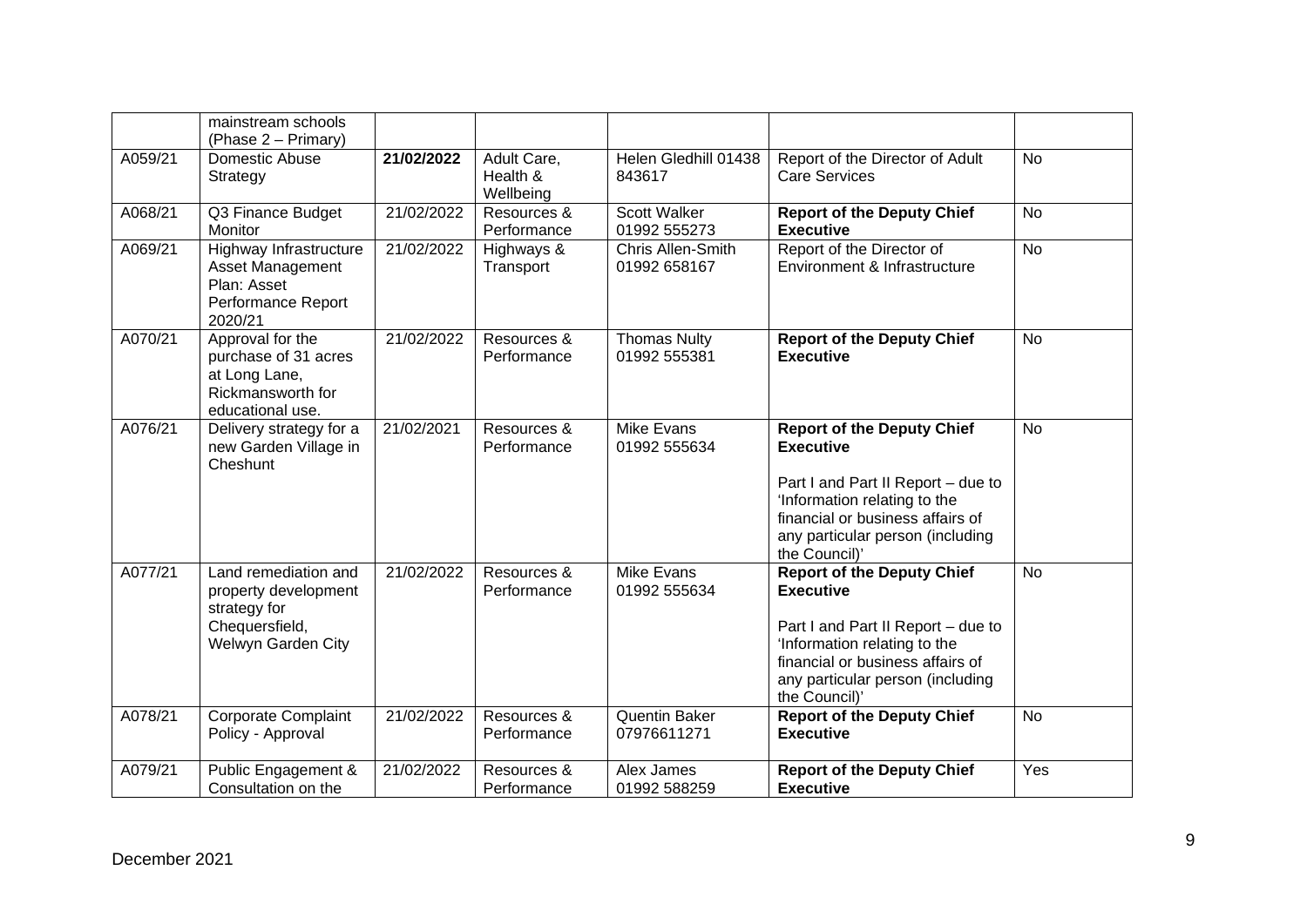|         | mainstream schools<br>(Phase 2 – Primary)                                                            |            |                                      |                                     |                                                                                                                                                                                                                      |           |
|---------|------------------------------------------------------------------------------------------------------|------------|--------------------------------------|-------------------------------------|----------------------------------------------------------------------------------------------------------------------------------------------------------------------------------------------------------------------|-----------|
| A059/21 | Domestic Abuse<br>Strategy                                                                           | 21/02/2022 | Adult Care,<br>Health &<br>Wellbeing | Helen Gledhill 01438<br>843617      | Report of the Director of Adult<br><b>Care Services</b>                                                                                                                                                              | <b>No</b> |
| A068/21 | Q3 Finance Budget<br>Monitor                                                                         | 21/02/2022 | Resources &<br>Performance           | <b>Scott Walker</b><br>01992 555273 | <b>Report of the Deputy Chief</b><br><b>Executive</b>                                                                                                                                                                | <b>No</b> |
| A069/21 | Highway Infrastructure<br>Asset Management<br>Plan: Asset<br>Performance Report<br>2020/21           | 21/02/2022 | Highways &<br>Transport              | Chris Allen-Smith<br>01992 658167   | Report of the Director of<br>Environment & Infrastructure                                                                                                                                                            | <b>No</b> |
| A070/21 | Approval for the<br>purchase of 31 acres<br>at Long Lane,<br>Rickmansworth for<br>educational use.   | 21/02/2022 | Resources &<br>Performance           | <b>Thomas Nulty</b><br>01992 555381 | <b>Report of the Deputy Chief</b><br><b>Executive</b>                                                                                                                                                                | <b>No</b> |
| A076/21 | Delivery strategy for a<br>new Garden Village in<br>Cheshunt                                         | 21/02/2021 | Resources &<br>Performance           | Mike Evans<br>01992 555634          | <b>Report of the Deputy Chief</b><br><b>Executive</b><br>Part I and Part II Report - due to<br>'Information relating to the<br>financial or business affairs of<br>any particular person (including<br>the Council)' | <b>No</b> |
| A077/21 | Land remediation and<br>property development<br>strategy for<br>Chequersfield,<br>Welwyn Garden City | 21/02/2022 | Resources &<br>Performance           | Mike Evans<br>01992 555634          | <b>Report of the Deputy Chief</b><br><b>Executive</b><br>Part I and Part II Report - due to<br>'Information relating to the<br>financial or business affairs of<br>any particular person (including<br>the Council)' | <b>No</b> |
| A078/21 | Corporate Complaint<br>Policy - Approval                                                             | 21/02/2022 | Resources &<br>Performance           | Quentin Baker<br>07976611271        | <b>Report of the Deputy Chief</b><br><b>Executive</b>                                                                                                                                                                | <b>No</b> |
| A079/21 | Public Engagement &<br>Consultation on the                                                           | 21/02/2022 | Resources &<br>Performance           | Alex James<br>01992 588259          | <b>Report of the Deputy Chief</b><br><b>Executive</b>                                                                                                                                                                | Yes       |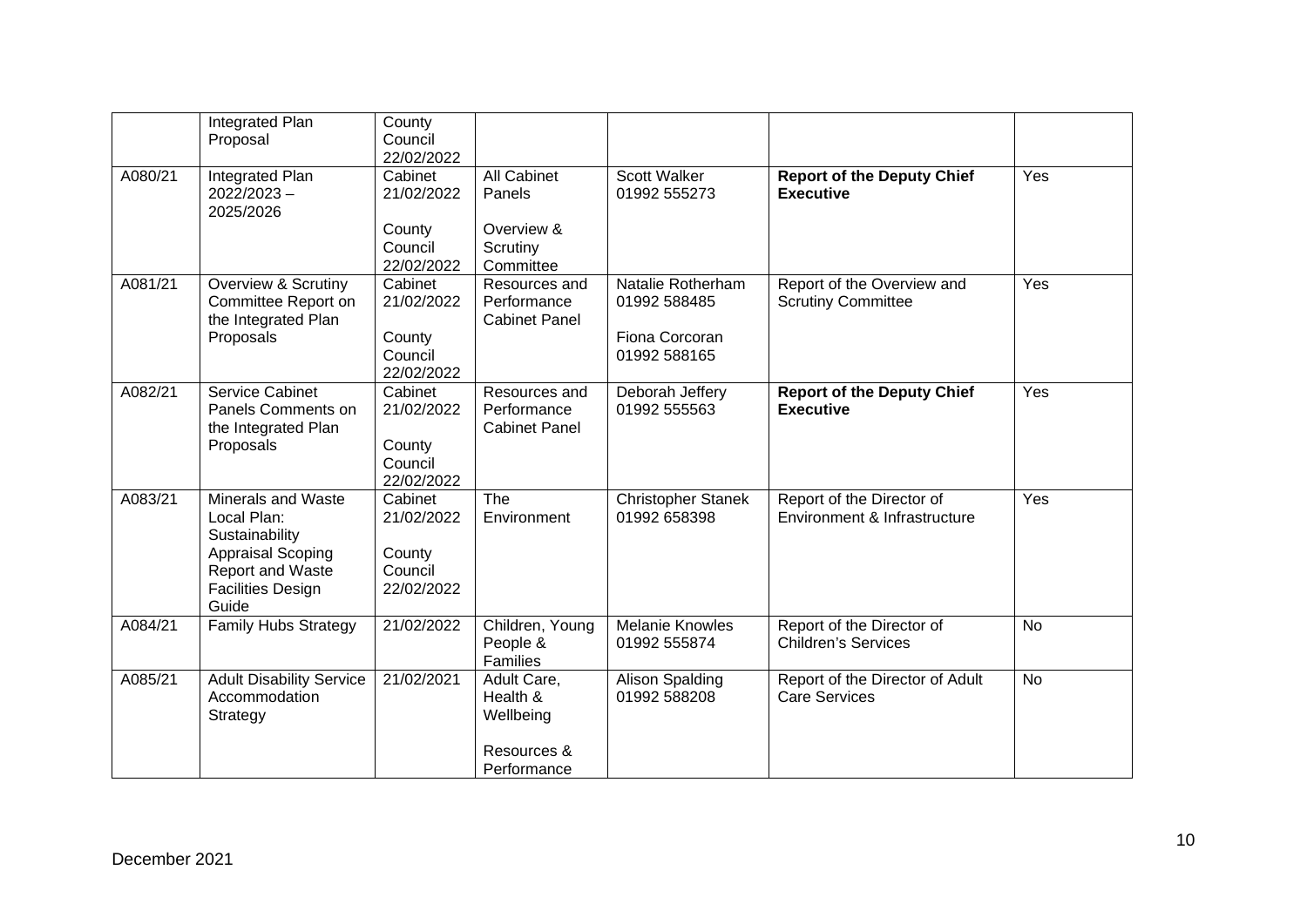|         | Integrated Plan<br>Proposal                                                                                                                     | County<br>Council<br>22/02/2022                          |                                                                     |                                                                     |                                                           |           |
|---------|-------------------------------------------------------------------------------------------------------------------------------------------------|----------------------------------------------------------|---------------------------------------------------------------------|---------------------------------------------------------------------|-----------------------------------------------------------|-----------|
| A080/21 | Integrated Plan<br>$2022/2023 -$<br>2025/2026                                                                                                   | Cabinet<br>21/02/2022<br>County<br>Council<br>22/02/2022 | <b>All Cabinet</b><br>Panels<br>Overview &<br>Scrutiny<br>Committee | Scott Walker<br>01992 555273                                        | <b>Report of the Deputy Chief</b><br><b>Executive</b>     | Yes       |
| A081/21 | <b>Overview &amp; Scrutiny</b><br>Committee Report on<br>the Integrated Plan<br>Proposals                                                       | Cabinet<br>21/02/2022<br>County<br>Council<br>22/02/2022 | Resources and<br>Performance<br><b>Cabinet Panel</b>                | Natalie Rotherham<br>01992 588485<br>Fiona Corcoran<br>01992 588165 | Report of the Overview and<br><b>Scrutiny Committee</b>   | Yes       |
| A082/21 | Service Cabinet<br>Panels Comments on<br>the Integrated Plan<br>Proposals                                                                       | Cabinet<br>21/02/2022<br>County<br>Council<br>22/02/2022 | Resources and<br>Performance<br><b>Cabinet Panel</b>                | Deborah Jeffery<br>01992 555563                                     | <b>Report of the Deputy Chief</b><br><b>Executive</b>     | Yes       |
| A083/21 | <b>Minerals and Waste</b><br>Local Plan:<br>Sustainability<br><b>Appraisal Scoping</b><br>Report and Waste<br><b>Facilities Design</b><br>Guide | Cabinet<br>21/02/2022<br>County<br>Council<br>22/02/2022 | The<br>Environment                                                  | <b>Christopher Stanek</b><br>01992 658398                           | Report of the Director of<br>Environment & Infrastructure | Yes       |
| A084/21 | <b>Family Hubs Strategy</b>                                                                                                                     | 21/02/2022                                               | Children, Young<br>People &<br>Families                             | <b>Melanie Knowles</b><br>01992 555874                              | Report of the Director of<br><b>Children's Services</b>   | <b>No</b> |
| A085/21 | <b>Adult Disability Service</b><br>Accommodation<br>Strategy                                                                                    | 21/02/2021                                               | Adult Care,<br>Health &<br>Wellbeing<br>Resources &<br>Performance  | <b>Alison Spalding</b><br>01992 588208                              | Report of the Director of Adult<br><b>Care Services</b>   | <b>No</b> |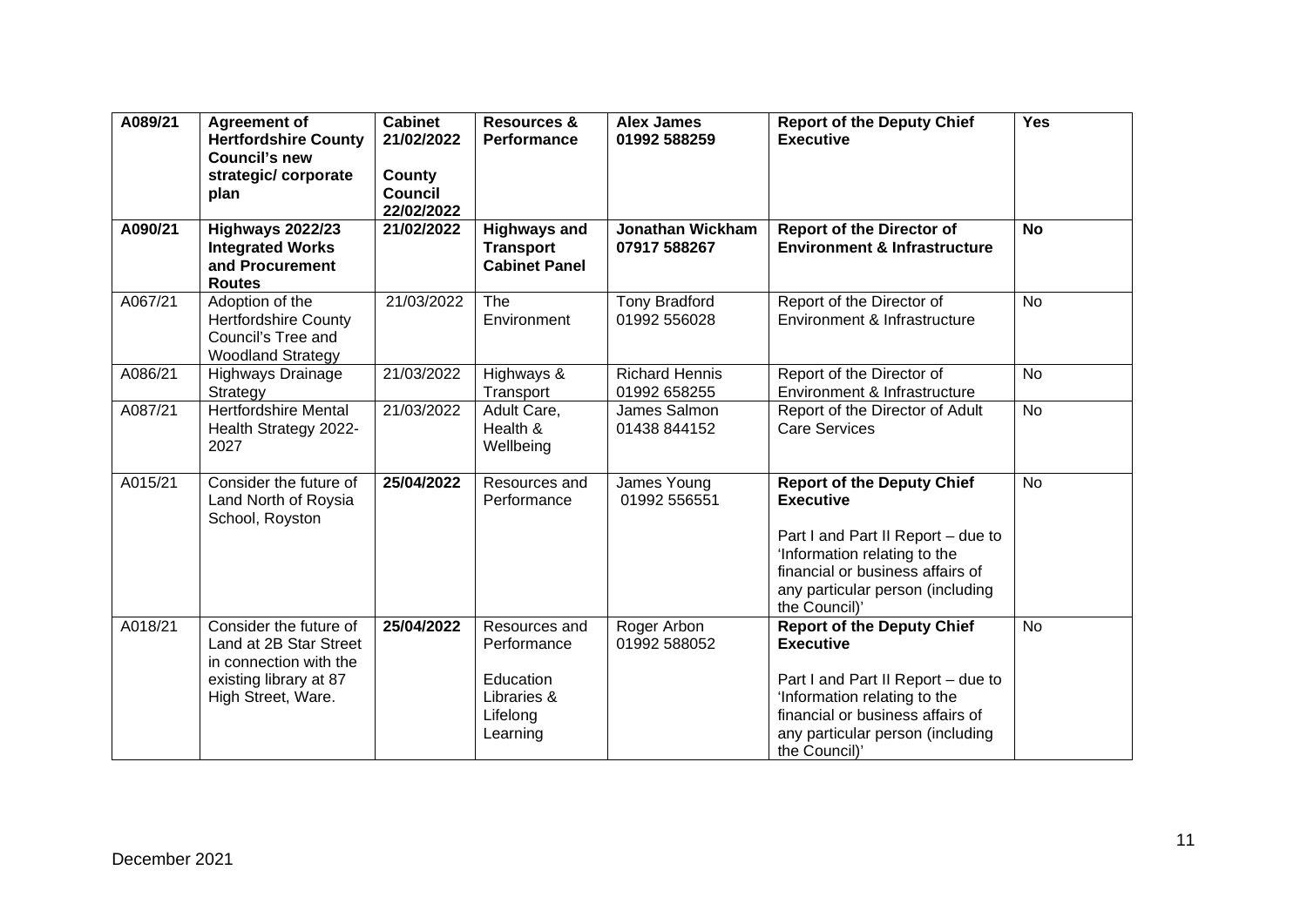| A089/21 | <b>Agreement of</b><br><b>Hertfordshire County</b><br><b>Council's new</b><br>strategic/corporate<br>plan                  | <b>Cabinet</b><br>21/02/2022<br>County<br><b>Council</b><br>22/02/2022 | <b>Resources &amp;</b><br><b>Performance</b>                                     | <b>Alex James</b><br>01992 588259       | <b>Report of the Deputy Chief</b><br><b>Executive</b>                                                                                                                                                                | <b>Yes</b> |
|---------|----------------------------------------------------------------------------------------------------------------------------|------------------------------------------------------------------------|----------------------------------------------------------------------------------|-----------------------------------------|----------------------------------------------------------------------------------------------------------------------------------------------------------------------------------------------------------------------|------------|
| A090/21 | <b>Highways 2022/23</b><br><b>Integrated Works</b><br>and Procurement<br><b>Routes</b>                                     | 21/02/2022                                                             | <b>Highways and</b><br><b>Transport</b><br><b>Cabinet Panel</b>                  | <b>Jonathan Wickham</b><br>07917 588267 | <b>Report of the Director of</b><br><b>Environment &amp; Infrastructure</b>                                                                                                                                          | <b>No</b>  |
| A067/21 | Adoption of the<br><b>Hertfordshire County</b><br>Council's Tree and<br><b>Woodland Strategy</b>                           | 21/03/2022                                                             | The<br>Environment                                                               | <b>Tony Bradford</b><br>01992 556028    | Report of the Director of<br>Environment & Infrastructure                                                                                                                                                            | <b>No</b>  |
| A086/21 | Highways Drainage<br>Strategy                                                                                              | 21/03/2022                                                             | Highways &<br>Transport                                                          | <b>Richard Hennis</b><br>01992 658255   | Report of the Director of<br>Environment & Infrastructure                                                                                                                                                            | <b>No</b>  |
| A087/21 | <b>Hertfordshire Mental</b><br>Health Strategy 2022-<br>2027                                                               | 21/03/2022                                                             | Adult Care,<br>Health &<br>Wellbeing                                             | James Salmon<br>01438 844152            | Report of the Director of Adult<br><b>Care Services</b>                                                                                                                                                              | <b>No</b>  |
| A015/21 | Consider the future of<br>Land North of Roysia<br>School, Royston                                                          | 25/04/2022                                                             | Resources and<br>Performance                                                     | James Young<br>01992 556551             | <b>Report of the Deputy Chief</b><br><b>Executive</b><br>Part I and Part II Report - due to<br>'Information relating to the<br>financial or business affairs of<br>any particular person (including<br>the Council)' | <b>No</b>  |
| A018/21 | Consider the future of<br>Land at 2B Star Street<br>in connection with the<br>existing library at 87<br>High Street, Ware. | 25/04/2022                                                             | Resources and<br>Performance<br>Education<br>Libraries &<br>Lifelong<br>Learning | Roger Arbon<br>01992 588052             | <b>Report of the Deputy Chief</b><br><b>Executive</b><br>Part I and Part II Report - due to<br>'Information relating to the<br>financial or business affairs of<br>any particular person (including<br>the Council)' | <b>No</b>  |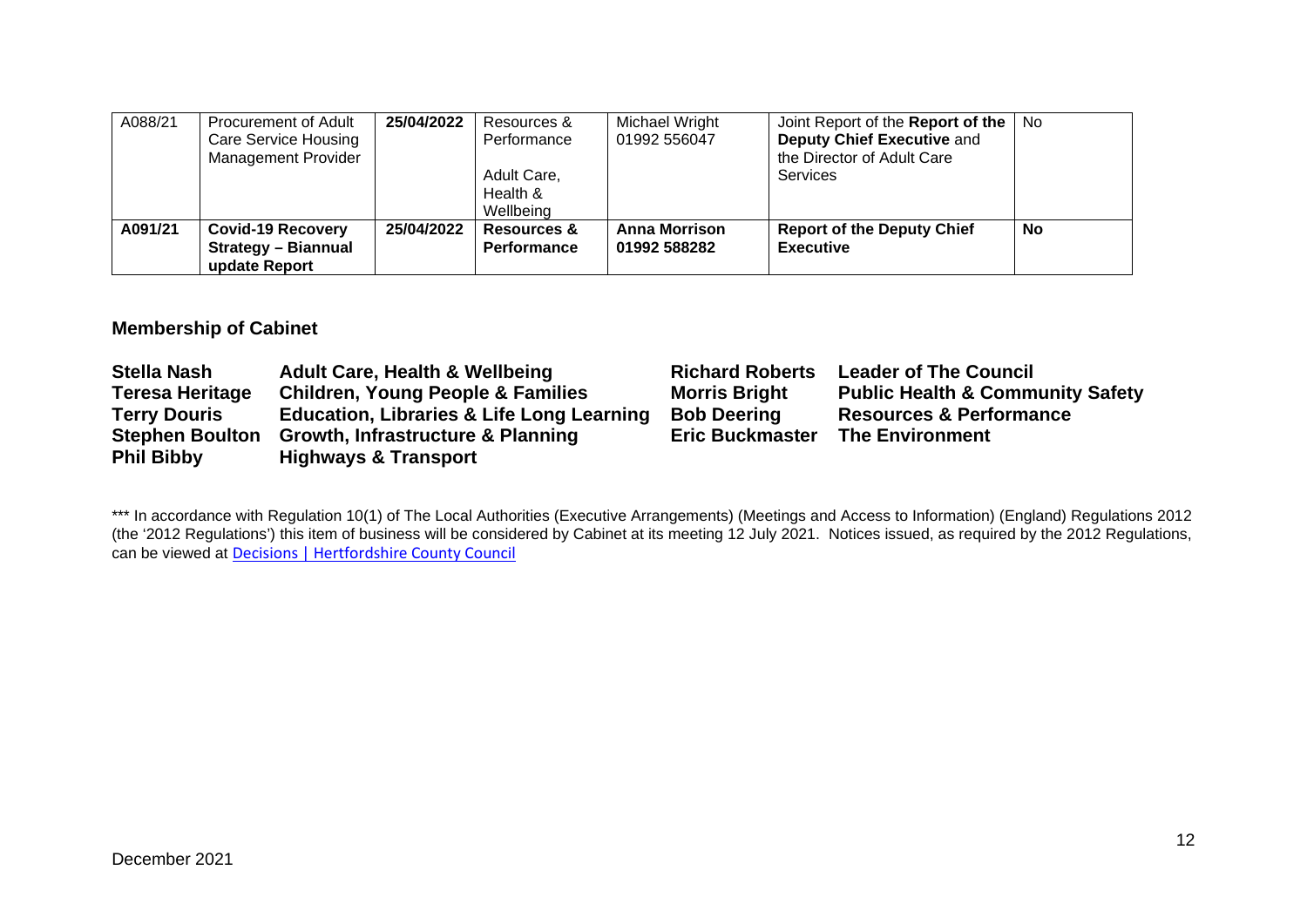| A088/21 | Procurement of Adult       | 25/04/2022 | Resources &            | Michael Wright       | Joint Report of the Report of the | No.       |
|---------|----------------------------|------------|------------------------|----------------------|-----------------------------------|-----------|
|         | Care Service Housing       |            | Performance            | 01992 556047         | Deputy Chief Executive and        |           |
|         | <b>Management Provider</b> |            |                        |                      | the Director of Adult Care        |           |
|         |                            |            | Adult Care,            |                      | Services                          |           |
|         |                            |            | Health &               |                      |                                   |           |
|         |                            |            | Wellbeing              |                      |                                   |           |
| A091/21 | <b>Covid-19 Recovery</b>   | 25/04/2022 | <b>Resources &amp;</b> | <b>Anna Morrison</b> | <b>Report of the Deputy Chief</b> | <b>No</b> |
|         | <b>Strategy - Biannual</b> |            | Performance            | 01992 588282         | <b>Executive</b>                  |           |
|         | update Report              |            |                        |                      |                                   |           |

## **Membership of Cabinet**

| <b>Stella Nash</b>     | <b>Adult Care, Health &amp; Wellbeing</b>            | <b>Richard Roberts</b> | <b>Leader of The Council</b>                |
|------------------------|------------------------------------------------------|------------------------|---------------------------------------------|
| <b>Teresa Heritage</b> | <b>Children, Young People &amp; Families</b>         | <b>Morris Bright</b>   | <b>Public Health &amp; Community Safety</b> |
| <b>Terry Douris</b>    | <b>Education, Libraries &amp; Life Long Learning</b> | <b>Bob Deering</b>     | <b>Resources &amp; Performance</b>          |
| <b>Stephen Boulton</b> | <b>Growth, Infrastructure &amp; Planning</b>         | <b>Eric Buckmaster</b> | <b>The Environment</b>                      |
| <b>Phil Bibby</b>      | <b>Highways &amp; Transport</b>                      |                        |                                             |

\*\*\* In accordance with Regulation 10(1) of The Local Authorities (Executive Arrangements) (Meetings and Access to Information) (England) Regulations 2012 (the '2012 Regulations') this item of business will be considered by Cabinet at its meeting 12 July 2021. Notices issued, as required by the 2012 Regulations, can be viewed at [Decisions | Hertfordshire County Council](https://www.hertfordshire.gov.uk/About-the-council/freedom-of-information-and-council-data/Open-Data-Statistics-about-Hertfordshire/How-we-make-decisions/Decisions/Decisions.aspx#keydecisions)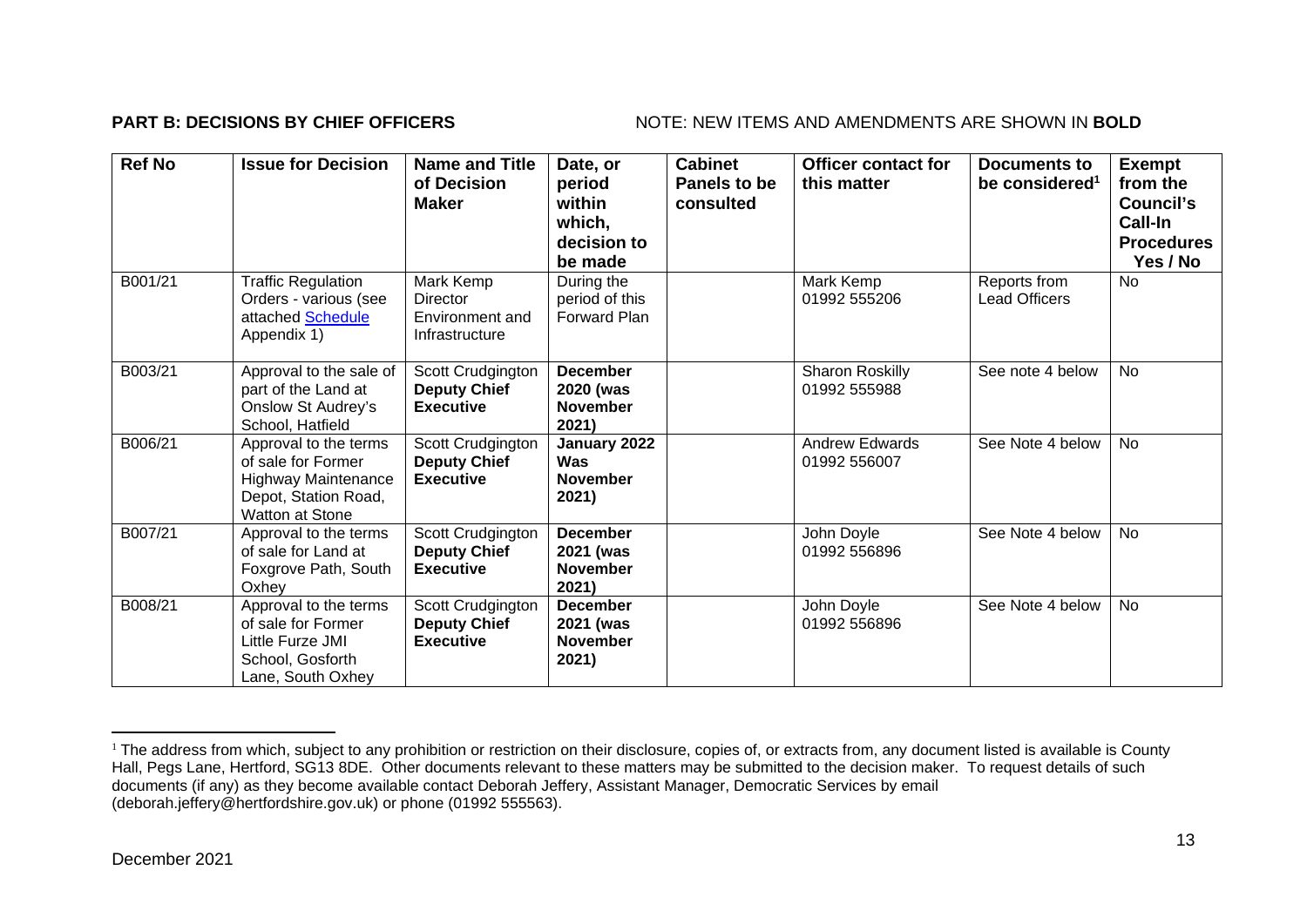### **PART B: DECISIONS BY CHIEF OFFICERS** NOTE: NEW ITEMS AND AMENDMENTS ARE SHOWN IN BOLD

| <b>Ref No</b> | <b>Issue for Decision</b>                                                                                            | <b>Name and Title</b><br>of Decision<br><b>Maker</b>         | Date, or<br>period<br>within<br>which,<br>decision to<br>be made | <b>Cabinet</b><br>Panels to be<br>consulted | <b>Officer contact for</b><br>this matter | Documents to<br>be considered <sup>1</sup> | <b>Exempt</b><br>from the<br>Council's<br>Call-In<br><b>Procedures</b><br>Yes / No |
|---------------|----------------------------------------------------------------------------------------------------------------------|--------------------------------------------------------------|------------------------------------------------------------------|---------------------------------------------|-------------------------------------------|--------------------------------------------|------------------------------------------------------------------------------------|
| B001/21       | <b>Traffic Regulation</b><br>Orders - various (see<br>attached Schedule<br>Appendix 1)                               | Mark Kemp<br>Director<br>Environment and<br>Infrastructure   | During the<br>period of this<br>Forward Plan                     |                                             | Mark Kemp<br>01992 555206                 | Reports from<br><b>Lead Officers</b>       | <b>No</b>                                                                          |
| B003/21       | Approval to the sale of<br>part of the Land at<br>Onslow St Audrey's<br>School, Hatfield                             | Scott Crudgington<br><b>Deputy Chief</b><br><b>Executive</b> | <b>December</b><br>2020 (was<br><b>November</b><br>2021)         |                                             | Sharon Roskilly<br>01992 555988           | See note 4 below                           | <b>No</b>                                                                          |
| B006/21       | Approval to the terms<br>of sale for Former<br><b>Highway Maintenance</b><br>Depot, Station Road,<br>Watton at Stone | Scott Crudgington<br><b>Deputy Chief</b><br><b>Executive</b> | January 2022<br><b>Was</b><br><b>November</b><br>2021)           |                                             | <b>Andrew Edwards</b><br>01992 556007     | See Note 4 below                           | <b>No</b>                                                                          |
| B007/21       | Approval to the terms<br>of sale for Land at<br>Foxgrove Path, South<br>Oxhey                                        | Scott Crudgington<br><b>Deputy Chief</b><br><b>Executive</b> | <b>December</b><br>2021 (was<br><b>November</b><br>2021)         |                                             | John Doyle<br>01992 556896                | See Note 4 below                           | No                                                                                 |
| B008/21       | Approval to the terms<br>of sale for Former<br>Little Furze JMI<br>School, Gosforth<br>Lane, South Oxhey             | Scott Crudgington<br><b>Deputy Chief</b><br><b>Executive</b> | <b>December</b><br>2021 (was<br><b>November</b><br>2021)         |                                             | John Doyle<br>01992 556896                | See Note 4 below                           | No                                                                                 |

<sup>&</sup>lt;sup>1</sup> The address from which, subject to any prohibition or restriction on their disclosure, copies of, or extracts from, any document listed is available is County Hall, Pegs Lane, Hertford, SG13 8DE. Other documents relevant to these matters may be submitted to the decision maker. To request details of such documents (if any) as they become available contact Deborah Jeffery, Assistant Manager, Democratic Services by email (deborah.jeffery@hertfordshire.gov.uk) or phone (01992 555563).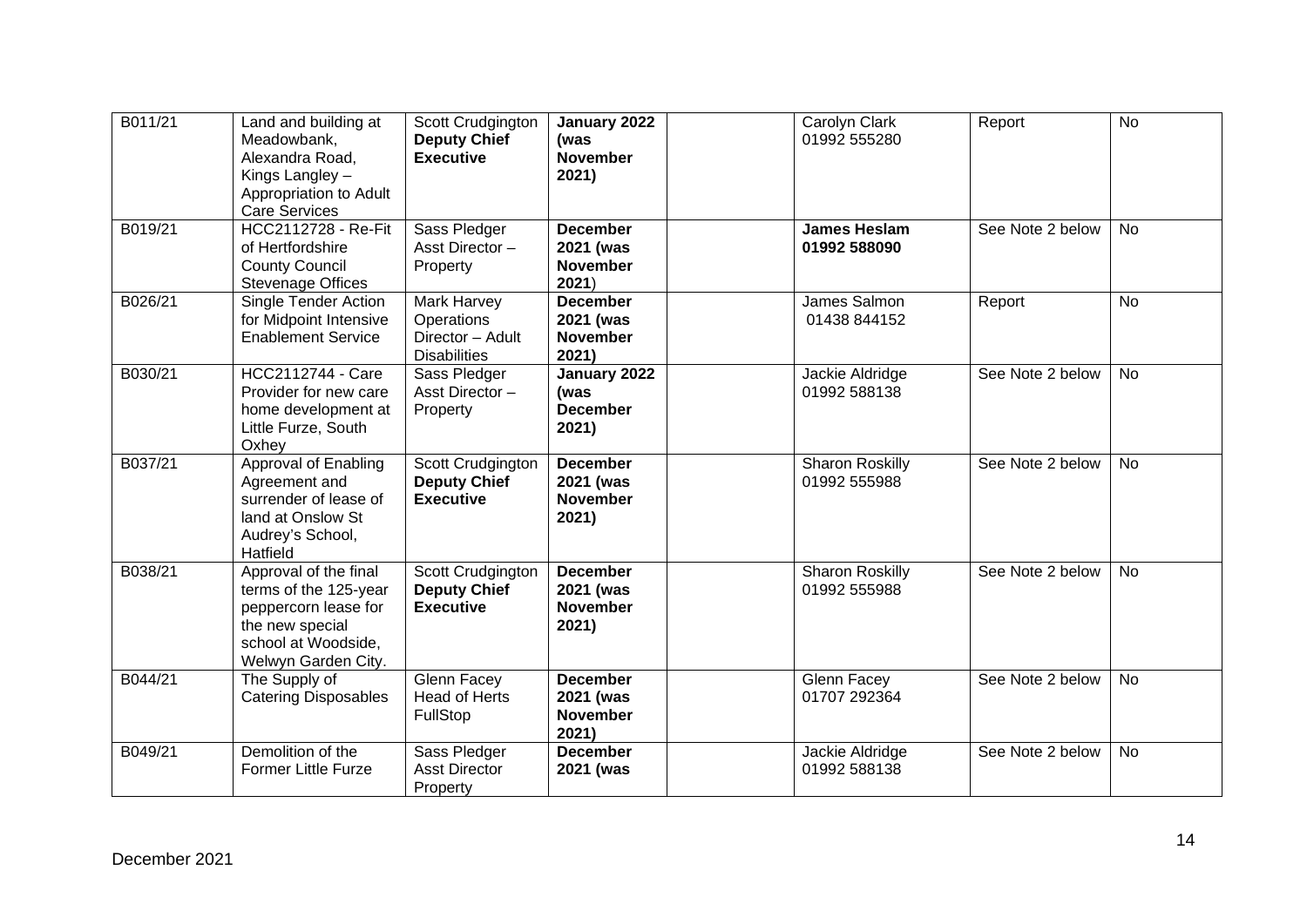| B011/21 | Land and building at<br>Meadowbank,<br>Alexandra Road,<br>Kings Langley -<br>Appropriation to Adult<br><b>Care Services</b>             | Scott Crudgington<br><b>Deputy Chief</b><br><b>Executive</b>         | January 2022<br>(was<br><b>November</b><br>2021)         | Carolyn Clark<br>01992 555280          | Report           | <b>No</b> |
|---------|-----------------------------------------------------------------------------------------------------------------------------------------|----------------------------------------------------------------------|----------------------------------------------------------|----------------------------------------|------------------|-----------|
| B019/21 | <b>HCC2112728 - Re-Fit</b><br>of Hertfordshire<br><b>County Council</b><br><b>Stevenage Offices</b>                                     | Sass Pledger<br>Asst Director-<br>Property                           | <b>December</b><br>2021 (was<br><b>November</b><br>2021) | <b>James Heslam</b><br>01992 588090    | See Note 2 below | <b>No</b> |
| B026/21 | Single Tender Action<br>for Midpoint Intensive<br><b>Enablement Service</b>                                                             | Mark Harvey<br>Operations<br>Director - Adult<br><b>Disabilities</b> | <b>December</b><br>2021 (was<br><b>November</b><br>2021) | James Salmon<br>01438 844152           | Report           | <b>No</b> |
| B030/21 | <b>HCC2112744 - Care</b><br>Provider for new care<br>home development at<br>Little Furze, South<br>Oxhey                                | Sass Pledger<br>Asst Director-<br>Property                           | January 2022<br>(was<br><b>December</b><br>2021)         | Jackie Aldridge<br>01992 588138        | See Note 2 below | <b>No</b> |
| B037/21 | <b>Approval of Enabling</b><br>Agreement and<br>surrender of lease of<br>land at Onslow St<br>Audrey's School,<br>Hatfield              | Scott Crudgington<br><b>Deputy Chief</b><br><b>Executive</b>         | <b>December</b><br>2021 (was<br><b>November</b><br>2021) | <b>Sharon Roskilly</b><br>01992 555988 | See Note 2 below | <b>No</b> |
| B038/21 | Approval of the final<br>terms of the 125-year<br>peppercorn lease for<br>the new special<br>school at Woodside,<br>Welwyn Garden City. | Scott Crudgington<br><b>Deputy Chief</b><br><b>Executive</b>         | <b>December</b><br>2021 (was<br><b>November</b><br>2021) | <b>Sharon Roskilly</b><br>01992 555988 | See Note 2 below | <b>No</b> |
| B044/21 | The Supply of<br><b>Catering Disposables</b>                                                                                            | Glenn Facey<br><b>Head of Herts</b><br>FullStop                      | <b>December</b><br>2021 (was<br><b>November</b><br>2021) | Glenn Facey<br>01707 292364            | See Note 2 below | <b>No</b> |
| B049/21 | Demolition of the<br><b>Former Little Furze</b>                                                                                         | Sass Pledger<br><b>Asst Director</b><br>Property                     | <b>December</b><br>2021 (was                             | Jackie Aldridge<br>01992 588138        | See Note 2 below | <b>No</b> |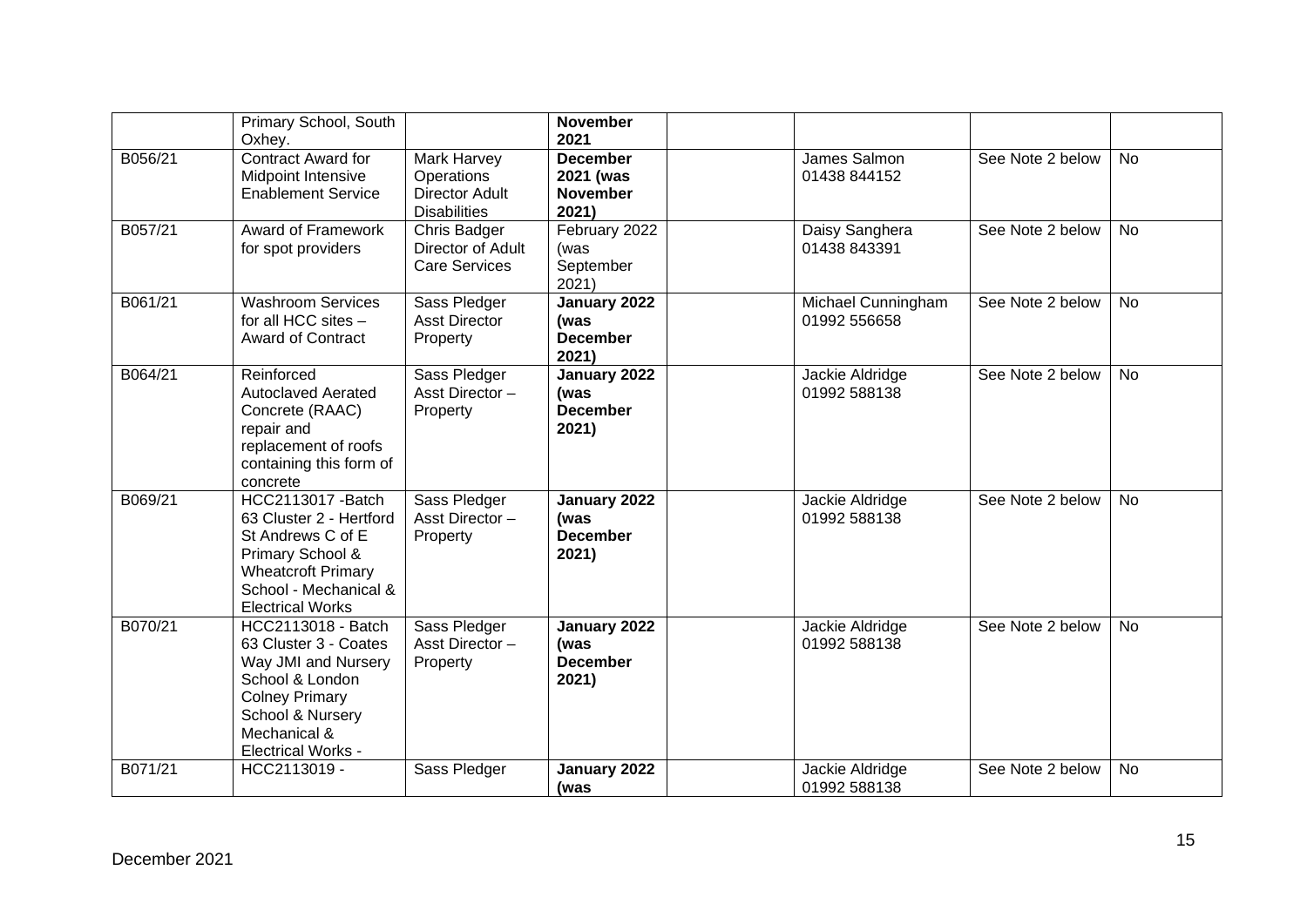|         | Primary School, South<br>Oxhey.                                                                                                                                                 |                                                                                  | <b>November</b><br>2021                                  |                                    |                  |           |
|---------|---------------------------------------------------------------------------------------------------------------------------------------------------------------------------------|----------------------------------------------------------------------------------|----------------------------------------------------------|------------------------------------|------------------|-----------|
| B056/21 | Contract Award for<br><b>Midpoint Intensive</b><br><b>Enablement Service</b>                                                                                                    | <b>Mark Harvey</b><br>Operations<br><b>Director Adult</b><br><b>Disabilities</b> | <b>December</b><br>2021 (was<br><b>November</b><br>2021) | James Salmon<br>01438 844152       | See Note 2 below | No        |
| B057/21 | <b>Award of Framework</b><br>for spot providers                                                                                                                                 | Chris Badger<br>Director of Adult<br><b>Care Services</b>                        | February 2022<br>(was<br>September<br>2021)              | Daisy Sanghera<br>01438 843391     | See Note 2 below | <b>No</b> |
| B061/21 | <b>Washroom Services</b><br>for all HCC sites -<br><b>Award of Contract</b>                                                                                                     | Sass Pledger<br><b>Asst Director</b><br>Property                                 | January 2022<br>(was<br><b>December</b><br>2021)         | Michael Cunningham<br>01992 556658 | See Note 2 below | <b>No</b> |
| B064/21 | Reinforced<br><b>Autoclaved Aerated</b><br>Concrete (RAAC)<br>repair and<br>replacement of roofs<br>containing this form of<br>concrete                                         | Sass Pledger<br>Asst Director-<br>Property                                       | January 2022<br>(was<br><b>December</b><br>2021)         | Jackie Aldridge<br>01992 588138    | See Note 2 below | <b>No</b> |
| B069/21 | <b>HCC2113017 - Batch</b><br>63 Cluster 2 - Hertford<br>St Andrews C of E<br>Primary School &<br><b>Wheatcroft Primary</b><br>School - Mechanical &<br><b>Electrical Works</b>  | Sass Pledger<br>Asst Director-<br>Property                                       | January 2022<br>(was<br><b>December</b><br>2021)         | Jackie Aldridge<br>01992 588138    | See Note 2 below | <b>No</b> |
| B070/21 | HCC2113018 - Batch<br>63 Cluster 3 - Coates<br>Way JMI and Nursery<br>School & London<br><b>Colney Primary</b><br>School & Nursery<br>Mechanical &<br><b>Electrical Works -</b> | Sass Pledger<br>Asst Director-<br>Property                                       | January 2022<br>(was<br><b>December</b><br>2021)         | Jackie Aldridge<br>01992 588138    | See Note 2 below | <b>No</b> |
| B071/21 | HCC2113019 -                                                                                                                                                                    | Sass Pledger                                                                     | January 2022<br>(was                                     | Jackie Aldridge<br>01992 588138    | See Note 2 below | <b>No</b> |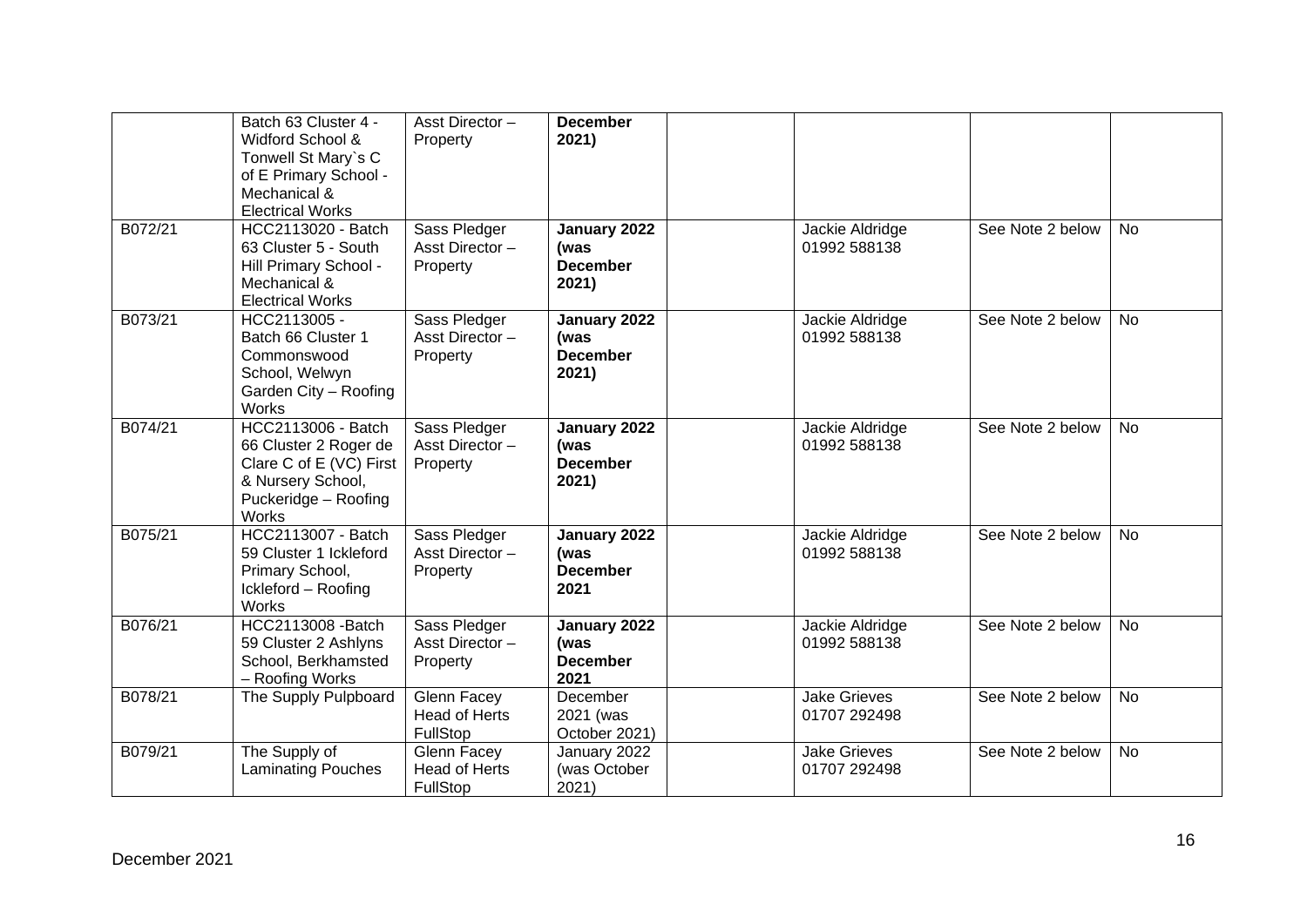|         | Batch 63 Cluster 4 -<br>Widford School &<br>Tonwell St Mary's C<br>of E Primary School -<br>Mechanical &<br><b>Electrical Works</b> | Asst Director-<br>Property                      | <b>December</b><br>2021)                         |                                     |                  |           |
|---------|-------------------------------------------------------------------------------------------------------------------------------------|-------------------------------------------------|--------------------------------------------------|-------------------------------------|------------------|-----------|
| B072/21 | HCC2113020 - Batch<br>63 Cluster 5 - South<br>Hill Primary School -<br>Mechanical &<br><b>Electrical Works</b>                      | Sass Pledger<br>Asst Director-<br>Property      | January 2022<br>(was<br><b>December</b><br>2021) | Jackie Aldridge<br>01992 588138     | See Note 2 below | <b>No</b> |
| B073/21 | HCC2113005 -<br>Batch 66 Cluster 1<br>Commonswood<br>School, Welwyn<br>Garden City - Roofing<br>Works                               | Sass Pledger<br>Asst Director-<br>Property      | January 2022<br>(was<br><b>December</b><br>2021) | Jackie Aldridge<br>01992 588138     | See Note 2 below | <b>No</b> |
| B074/21 | <b>HCC2113006 - Batch</b><br>66 Cluster 2 Roger de<br>Clare C of E (VC) First<br>& Nursery School,<br>Puckeridge - Roofing<br>Works | Sass Pledger<br>Asst Director-<br>Property      | January 2022<br>(was<br><b>December</b><br>2021) | Jackie Aldridge<br>01992 588138     | See Note 2 below | <b>No</b> |
| B075/21 | HCC2113007 - Batch<br>59 Cluster 1 Ickleford<br>Primary School,<br>Ickleford - Roofing<br><b>Works</b>                              | Sass Pledger<br>Asst Director-<br>Property      | January 2022<br>(was<br><b>December</b><br>2021  | Jackie Aldridge<br>01992 588138     | See Note 2 below | <b>No</b> |
| B076/21 | HCC2113008 - Batch<br>59 Cluster 2 Ashlyns<br>School, Berkhamsted<br>- Roofing Works                                                | Sass Pledger<br>Asst Director-<br>Property      | January 2022<br>(was<br><b>December</b><br>2021  | Jackie Aldridge<br>01992 588138     | See Note 2 below | <b>No</b> |
| B078/21 | The Supply Pulpboard                                                                                                                | Glenn Facey<br><b>Head of Herts</b><br>FullStop | December<br>2021 (was<br>October 2021)           | <b>Jake Grieves</b><br>01707 292498 | See Note 2 below | <b>No</b> |
| B079/21 | The Supply of<br><b>Laminating Pouches</b>                                                                                          | Glenn Facey<br><b>Head of Herts</b><br>FullStop | January 2022<br>(was October<br>2021)            | <b>Jake Grieves</b><br>01707 292498 | See Note 2 below | <b>No</b> |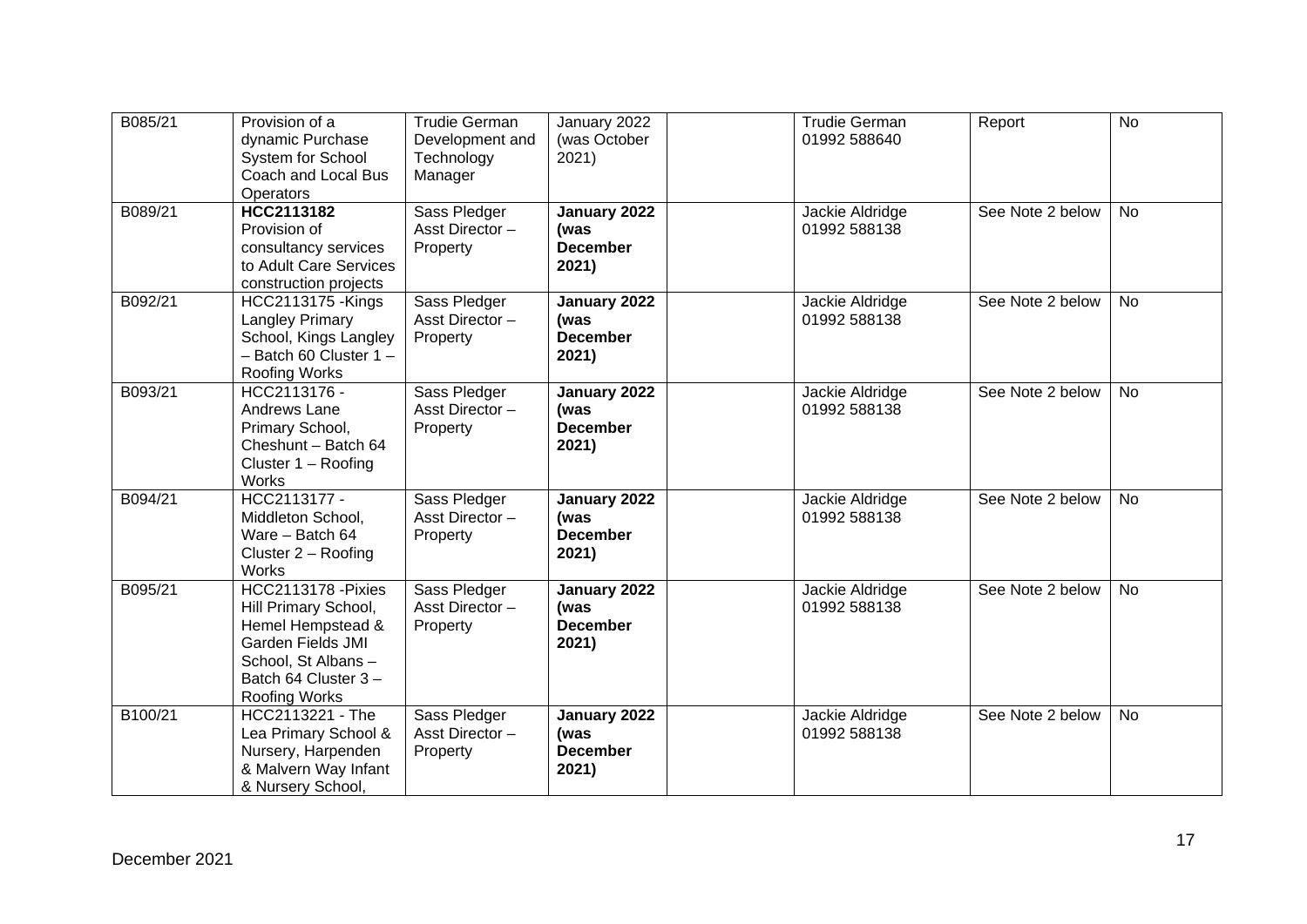| B085/21 | Provision of a<br>dynamic Purchase<br>System for School<br>Coach and Local Bus<br>Operators                                                                | <b>Trudie German</b><br>Development and<br>Technology<br>Manager | January 2022<br>(was October<br>2021)            | <b>Trudie German</b><br>01992 588640 | Report           | <b>No</b> |
|---------|------------------------------------------------------------------------------------------------------------------------------------------------------------|------------------------------------------------------------------|--------------------------------------------------|--------------------------------------|------------------|-----------|
| B089/21 | HCC2113182<br>Provision of<br>consultancy services<br>to Adult Care Services<br>construction projects                                                      | Sass Pledger<br>Asst Director-<br>Property                       | January 2022<br>(was<br><b>December</b><br>2021) | Jackie Aldridge<br>01992 588138      | See Note 2 below | <b>No</b> |
| B092/21 | <b>HCC2113175 - Kings</b><br>Langley Primary<br>School, Kings Langley<br>$-$ Batch 60 Cluster 1 $-$<br>Roofing Works                                       | Sass Pledger<br>Asst Director-<br>Property                       | January 2022<br>(was<br><b>December</b><br>2021) | Jackie Aldridge<br>01992 588138      | See Note 2 below | No        |
| B093/21 | HCC2113176 -<br>Andrews Lane<br>Primary School,<br>Cheshunt - Batch 64<br>Cluster 1 - Roofing<br><b>Works</b>                                              | Sass Pledger<br>Asst Director-<br>Property                       | January 2022<br>(was<br><b>December</b><br>2021) | Jackie Aldridge<br>01992 588138      | See Note 2 below | <b>No</b> |
| B094/21 | HCC2113177 -<br>Middleton School,<br>Ware - Batch 64<br>Cluster $2 -$ Roofing<br>Works                                                                     | Sass Pledger<br>Asst Director-<br>Property                       | January 2022<br>(was<br><b>December</b><br>2021) | Jackie Aldridge<br>01992 588138      | See Note 2 below | <b>No</b> |
| B095/21 | <b>HCC2113178 - Pixies</b><br>Hill Primary School,<br>Hemel Hempstead &<br>Garden Fields JMI<br>School, St Albans-<br>Batch 64 Cluster 3-<br>Roofing Works | Sass Pledger<br>Asst Director-<br>Property                       | January 2022<br>(was<br><b>December</b><br>2021) | Jackie Aldridge<br>01992 588138      | See Note 2 below | No        |
| B100/21 | HCC2113221 - The<br>Lea Primary School &<br>Nursery, Harpenden<br>& Malvern Way Infant<br>& Nursery School,                                                | Sass Pledger<br>Asst Director-<br>Property                       | January 2022<br>(was<br><b>December</b><br>2021) | Jackie Aldridge<br>01992 588138      | See Note 2 below | <b>No</b> |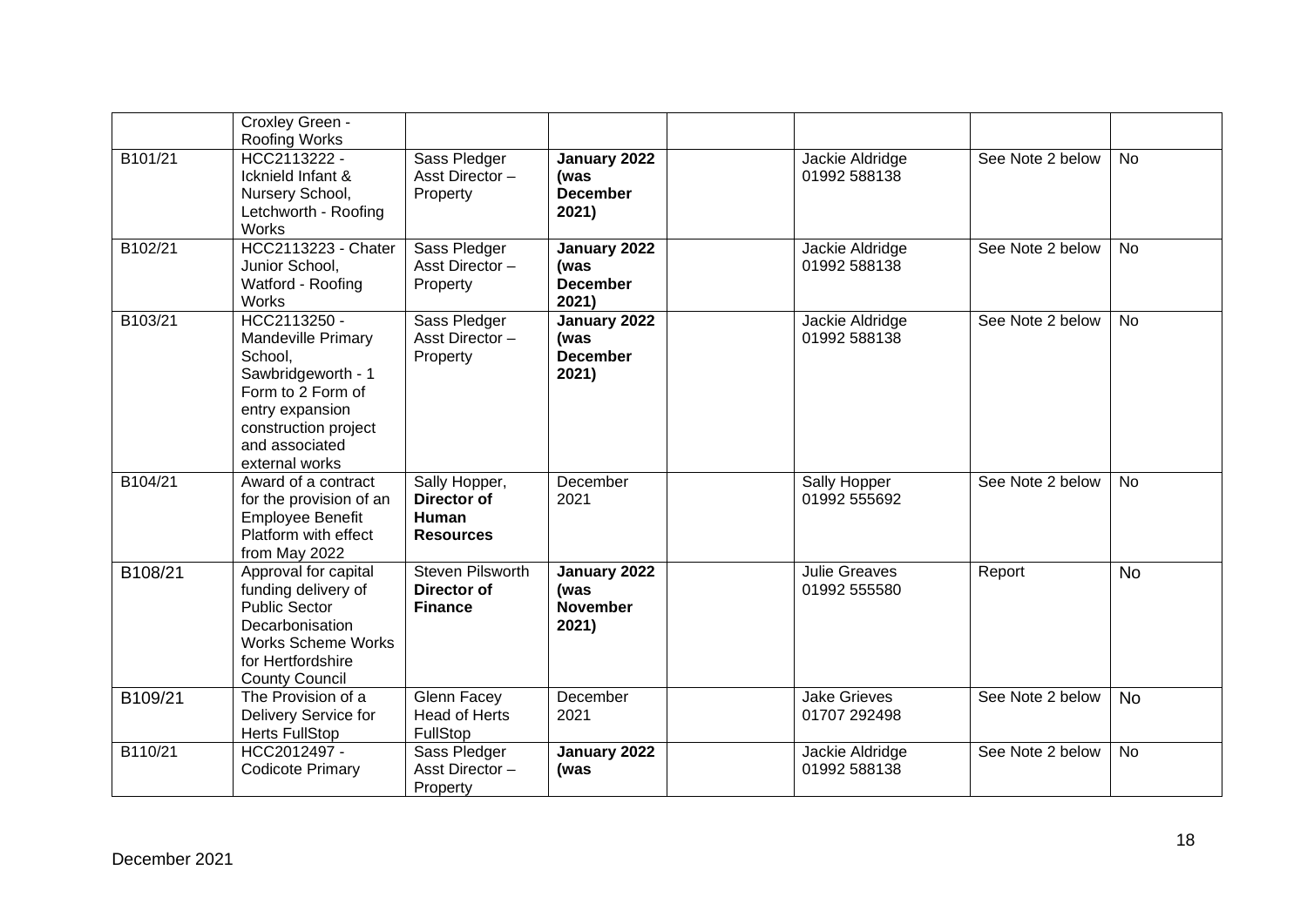|         | Croxley Green -<br>Roofing Works                                                                                                                                               |                                                                 |                                                  |                                      |                  |           |
|---------|--------------------------------------------------------------------------------------------------------------------------------------------------------------------------------|-----------------------------------------------------------------|--------------------------------------------------|--------------------------------------|------------------|-----------|
| B101/21 | HCC2113222 -<br>Icknield Infant &<br>Nursery School,<br>Letchworth - Roofing<br>Works                                                                                          | Sass Pledger<br>Asst Director-<br>Property                      | January 2022<br>(was<br><b>December</b><br>2021) | Jackie Aldridge<br>01992 588138      | See Note 2 below | <b>No</b> |
| B102/21 | <b>HCC2113223 - Chater</b><br>Junior School,<br>Watford - Roofing<br><b>Works</b>                                                                                              | Sass Pledger<br>Asst Director-<br>Property                      | January 2022<br>(was<br><b>December</b><br>2021) | Jackie Aldridge<br>01992 588138      | See Note 2 below | <b>No</b> |
| B103/21 | HCC2113250 -<br><b>Mandeville Primary</b><br>School,<br>Sawbridgeworth - 1<br>Form to 2 Form of<br>entry expansion<br>construction project<br>and associated<br>external works | Sass Pledger<br>Asst Director-<br>Property                      | January 2022<br>(was<br><b>December</b><br>2021) | Jackie Aldridge<br>01992 588138      | See Note 2 below | <b>No</b> |
| B104/21 | Award of a contract<br>for the provision of an<br><b>Employee Benefit</b><br>Platform with effect<br>from May 2022                                                             | Sally Hopper,<br>Director of<br>Human<br><b>Resources</b>       | December<br>2021                                 | Sally Hopper<br>01992 555692         | See Note 2 below | No        |
| B108/21 | Approval for capital<br>funding delivery of<br><b>Public Sector</b><br>Decarbonisation<br><b>Works Scheme Works</b><br>for Hertfordshire<br><b>County Council</b>              | <b>Steven Pilsworth</b><br><b>Director of</b><br><b>Finance</b> | January 2022<br>(was<br><b>November</b><br>2021) | <b>Julie Greaves</b><br>01992 555580 | Report           | <b>No</b> |
| B109/21 | The Provision of a<br>Delivery Service for<br><b>Herts FullStop</b>                                                                                                            | Glenn Facey<br>Head of Herts<br>FullStop                        | December<br>2021                                 | <b>Jake Grieves</b><br>01707 292498  | See Note 2 below | <b>No</b> |
| B110/21 | HCC2012497 -<br><b>Codicote Primary</b>                                                                                                                                        | Sass Pledger<br>Asst Director-<br>Property                      | January 2022<br>(was                             | Jackie Aldridge<br>01992 588138      | See Note 2 below | No        |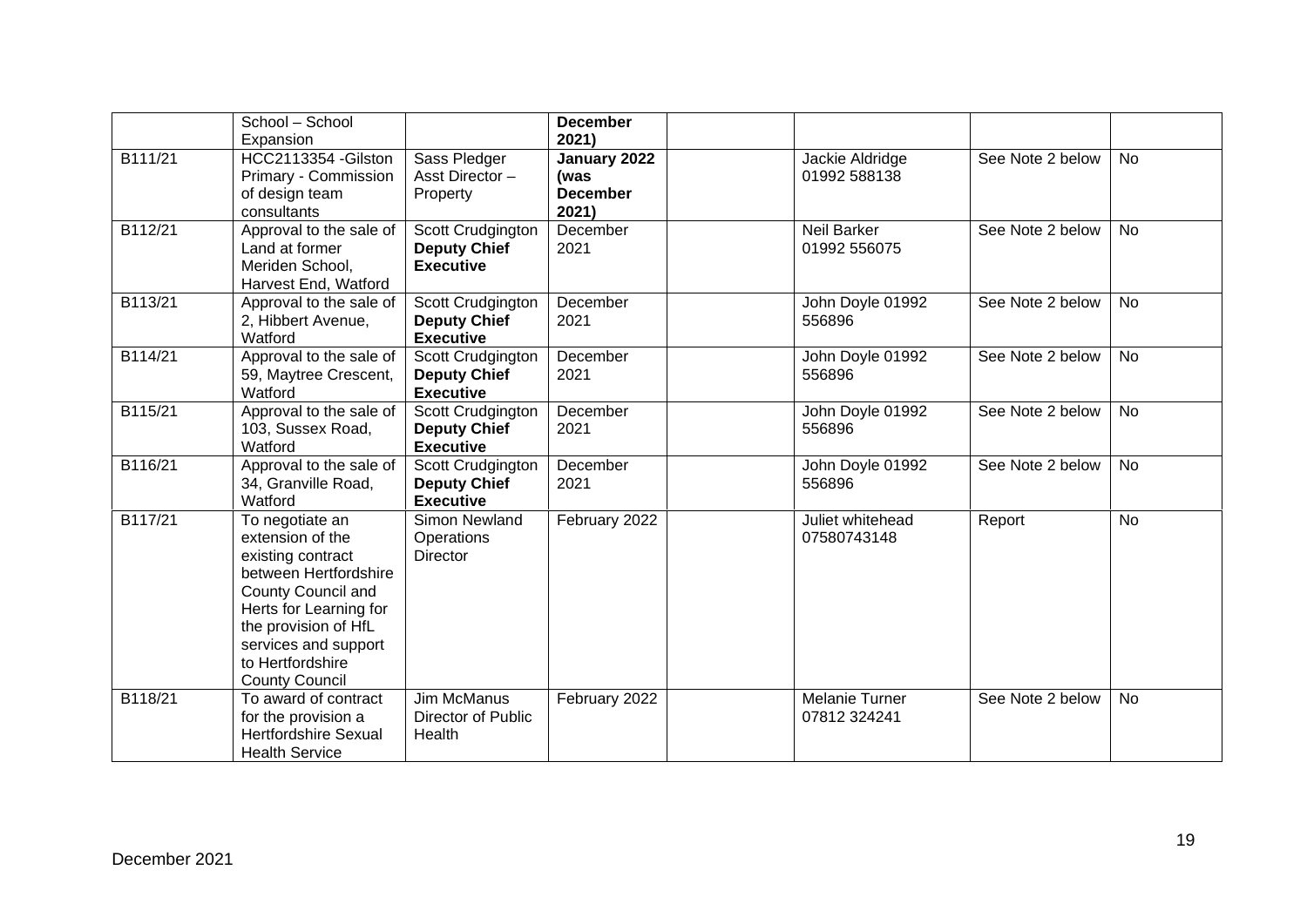|         | School - School<br>Expansion                                                                                                                                                                                                   |                                                              | <b>December</b><br>2021)                         |                                       |                  |           |
|---------|--------------------------------------------------------------------------------------------------------------------------------------------------------------------------------------------------------------------------------|--------------------------------------------------------------|--------------------------------------------------|---------------------------------------|------------------|-----------|
| B111/21 | HCC2113354 - Gilston<br>Primary - Commission<br>of design team<br>consultants                                                                                                                                                  | Sass Pledger<br>Asst Director-<br>Property                   | January 2022<br>(was<br><b>December</b><br>2021) | Jackie Aldridge<br>01992 588138       | See Note 2 below | <b>No</b> |
| B112/21 | Approval to the sale of<br>Land at former<br>Meriden School,<br>Harvest End, Watford                                                                                                                                           | Scott Crudgington<br><b>Deputy Chief</b><br><b>Executive</b> | December<br>2021                                 | <b>Neil Barker</b><br>01992 556075    | See Note 2 below | <b>No</b> |
| B113/21 | Approval to the sale of<br>2, Hibbert Avenue,<br>Watford                                                                                                                                                                       | Scott Crudgington<br><b>Deputy Chief</b><br><b>Executive</b> | December<br>2021                                 | John Doyle 01992<br>556896            | See Note 2 below | <b>No</b> |
| B114/21 | Approval to the sale of<br>59, Maytree Crescent,<br>Watford                                                                                                                                                                    | Scott Crudgington<br><b>Deputy Chief</b><br><b>Executive</b> | December<br>2021                                 | John Doyle 01992<br>556896            | See Note 2 below | <b>No</b> |
| B115/21 | Approval to the sale of<br>103, Sussex Road,<br>Watford                                                                                                                                                                        | Scott Crudgington<br><b>Deputy Chief</b><br><b>Executive</b> | December<br>2021                                 | John Doyle 01992<br>556896            | See Note 2 below | <b>No</b> |
| B116/21 | Approval to the sale of<br>34, Granville Road,<br>Watford                                                                                                                                                                      | Scott Crudgington<br><b>Deputy Chief</b><br><b>Executive</b> | December<br>2021                                 | John Doyle 01992<br>556896            | See Note 2 below | <b>No</b> |
| B117/21 | To negotiate an<br>extension of the<br>existing contract<br>between Hertfordshire<br>County Council and<br>Herts for Learning for<br>the provision of HfL<br>services and support<br>to Hertfordshire<br><b>County Council</b> | Simon Newland<br>Operations<br><b>Director</b>               | February 2022                                    | Juliet whitehead<br>07580743148       | Report           | <b>No</b> |
| B118/21 | To award of contract<br>for the provision a<br><b>Hertfordshire Sexual</b><br><b>Health Service</b>                                                                                                                            | <b>Jim McManus</b><br>Director of Public<br>Health           | February 2022                                    | <b>Melanie Turner</b><br>07812 324241 | See Note 2 below | <b>No</b> |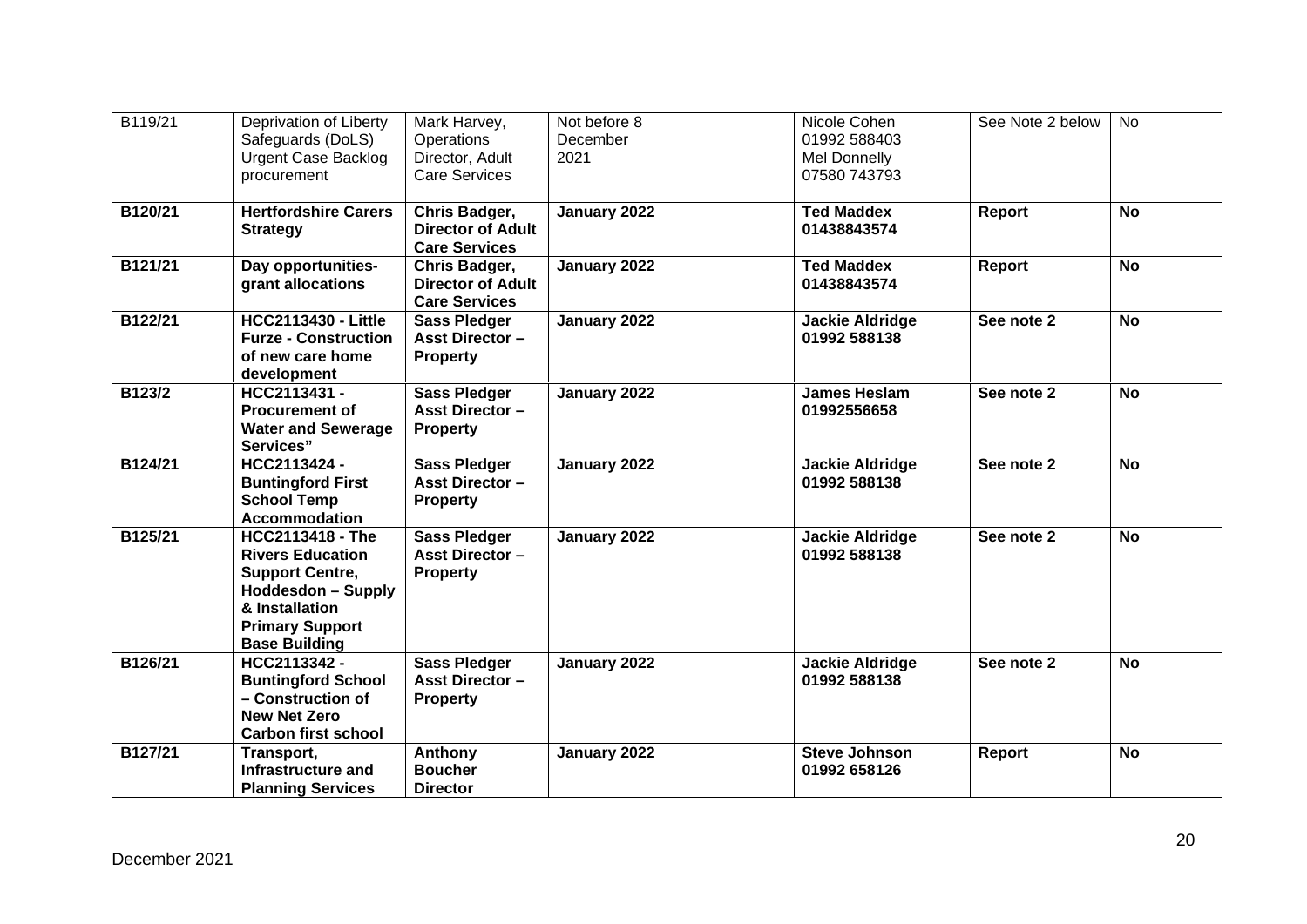| B119/21 | Deprivation of Liberty<br>Safeguards (DoLS)<br><b>Urgent Case Backlog</b><br>procurement                                                                                      | Mark Harvey,<br>Operations<br>Director, Adult<br><b>Care Services</b> | Not before 8<br>December<br>2021 | Nicole Cohen<br>01992 588403<br>Mel Donnelly<br>07580 743793 | See Note 2 below | <b>No</b> |
|---------|-------------------------------------------------------------------------------------------------------------------------------------------------------------------------------|-----------------------------------------------------------------------|----------------------------------|--------------------------------------------------------------|------------------|-----------|
| B120/21 | <b>Hertfordshire Carers</b><br><b>Strategy</b>                                                                                                                                | Chris Badger,<br><b>Director of Adult</b><br><b>Care Services</b>     | January 2022                     | <b>Ted Maddex</b><br>01438843574                             | Report           | <b>No</b> |
| B121/21 | Day opportunities-<br>grant allocations                                                                                                                                       | Chris Badger,<br><b>Director of Adult</b><br><b>Care Services</b>     | January 2022                     | <b>Ted Maddex</b><br>01438843574                             | Report           | <b>No</b> |
| B122/21 | <b>HCC2113430 - Little</b><br><b>Furze - Construction</b><br>of new care home<br>development                                                                                  | <b>Sass Pledger</b><br><b>Asst Director -</b><br><b>Property</b>      | January 2022                     | <b>Jackie Aldridge</b><br>01992 588138                       | See note 2       | <b>No</b> |
| B123/2  | HCC2113431 -<br><b>Procurement of</b><br><b>Water and Sewerage</b><br>Services"                                                                                               | <b>Sass Pledger</b><br><b>Asst Director -</b><br><b>Property</b>      | January 2022                     | <b>James Heslam</b><br>01992556658                           | See note 2       | <b>No</b> |
| B124/21 | HCC2113424 -<br><b>Buntingford First</b><br><b>School Temp</b><br><b>Accommodation</b>                                                                                        | <b>Sass Pledger</b><br><b>Asst Director -</b><br><b>Property</b>      | January 2022                     | <b>Jackie Aldridge</b><br>01992 588138                       | See note 2       | <b>No</b> |
| B125/21 | <b>HCC2113418 - The</b><br><b>Rivers Education</b><br><b>Support Centre,</b><br><b>Hoddesdon - Supply</b><br>& Installation<br><b>Primary Support</b><br><b>Base Building</b> | <b>Sass Pledger</b><br><b>Asst Director -</b><br><b>Property</b>      | January 2022                     | <b>Jackie Aldridge</b><br>01992 588138                       | See note 2       | <b>No</b> |
| B126/21 | HCC2113342 -<br><b>Buntingford School</b><br>- Construction of<br><b>New Net Zero</b><br><b>Carbon first school</b>                                                           | <b>Sass Pledger</b><br><b>Asst Director -</b><br><b>Property</b>      | January 2022                     | <b>Jackie Aldridge</b><br>01992 588138                       | See note 2       | <b>No</b> |
| B127/21 | Transport,<br>Infrastructure and<br><b>Planning Services</b>                                                                                                                  | Anthony<br><b>Boucher</b><br><b>Director</b>                          | January 2022                     | <b>Steve Johnson</b><br>01992 658126                         | <b>Report</b>    | <b>No</b> |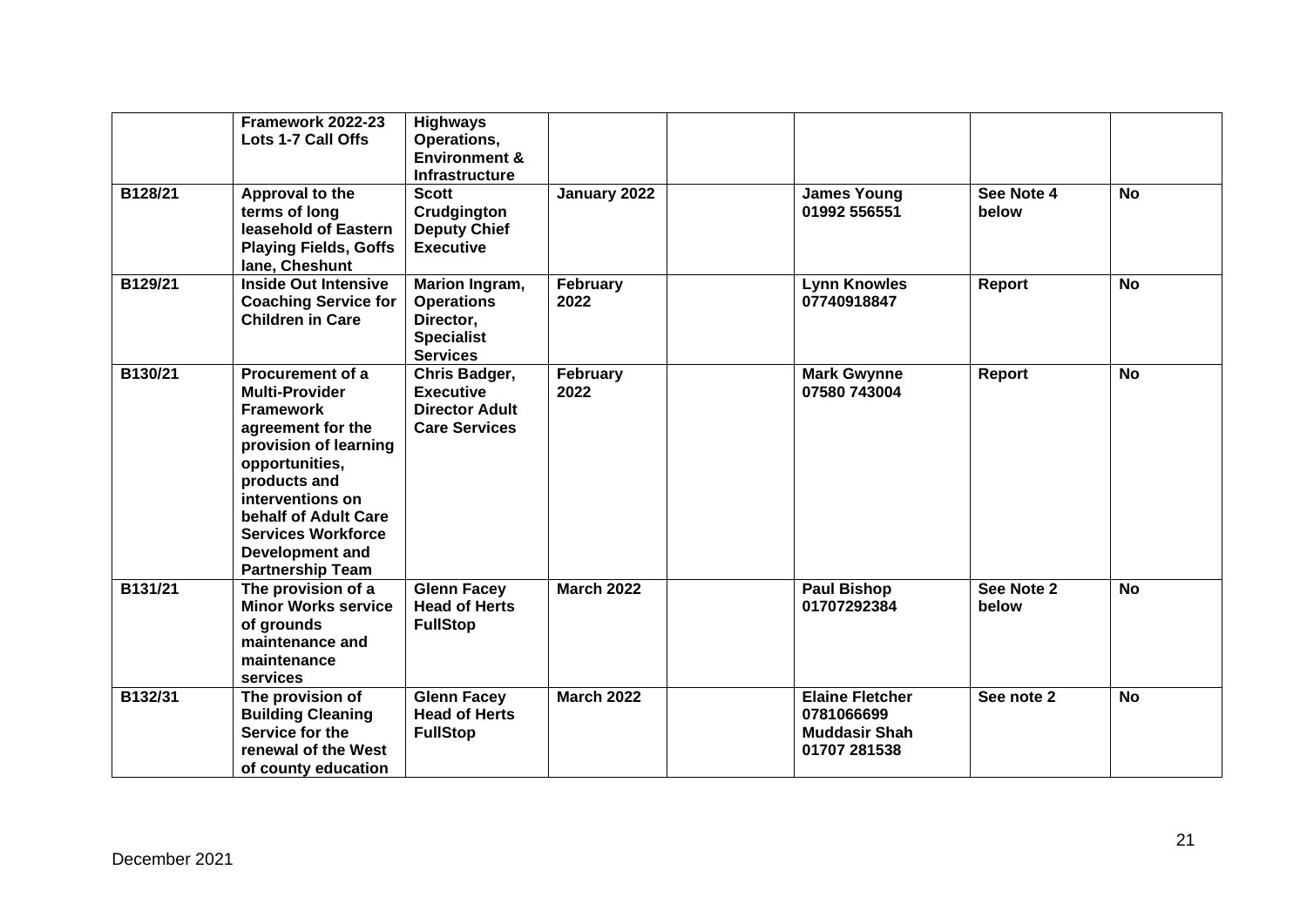|         | Framework 2022-23<br>Lots 1-7 Call Offs                                                                                                                                                                                                                                     | <b>Highways</b><br>Operations,<br><b>Environment &amp;</b><br><b>Infrastructure</b>      |                   |                                                                              |                     |           |
|---------|-----------------------------------------------------------------------------------------------------------------------------------------------------------------------------------------------------------------------------------------------------------------------------|------------------------------------------------------------------------------------------|-------------------|------------------------------------------------------------------------------|---------------------|-----------|
| B128/21 | Approval to the<br>terms of long<br>leasehold of Eastern<br><b>Playing Fields, Goffs</b><br>lane, Cheshunt                                                                                                                                                                  | <b>Scott</b><br>Crudgington<br><b>Deputy Chief</b><br><b>Executive</b>                   | January 2022      | <b>James Young</b><br>01992 556551                                           | See Note 4<br>below | <b>No</b> |
| B129/21 | <b>Inside Out Intensive</b><br><b>Coaching Service for</b><br><b>Children in Care</b>                                                                                                                                                                                       | Marion Ingram,<br><b>Operations</b><br>Director,<br><b>Specialist</b><br><b>Services</b> | February<br>2022  | <b>Lynn Knowles</b><br>07740918847                                           | <b>Report</b>       | <b>No</b> |
| B130/21 | <b>Procurement of a</b><br><b>Multi-Provider</b><br><b>Framework</b><br>agreement for the<br>provision of learning<br>opportunities,<br>products and<br>interventions on<br>behalf of Adult Care<br><b>Services Workforce</b><br>Development and<br><b>Partnership Team</b> | Chris Badger,<br><b>Executive</b><br><b>Director Adult</b><br><b>Care Services</b>       | February<br>2022  | <b>Mark Gwynne</b><br>07580 743004                                           | Report              | <b>No</b> |
| B131/21 | The provision of a<br><b>Minor Works service</b><br>of grounds<br>maintenance and<br>maintenance<br>services                                                                                                                                                                | <b>Glenn Facey</b><br><b>Head of Herts</b><br><b>FullStop</b>                            | <b>March 2022</b> | <b>Paul Bishop</b><br>01707292384                                            | See Note 2<br>below | <b>No</b> |
| B132/31 | The provision of<br><b>Building Cleaning</b><br>Service for the<br>renewal of the West<br>of county education                                                                                                                                                               | <b>Glenn Facey</b><br><b>Head of Herts</b><br><b>FullStop</b>                            | <b>March 2022</b> | <b>Elaine Fletcher</b><br>0781066699<br><b>Muddasir Shah</b><br>01707 281538 | See note 2          | <b>No</b> |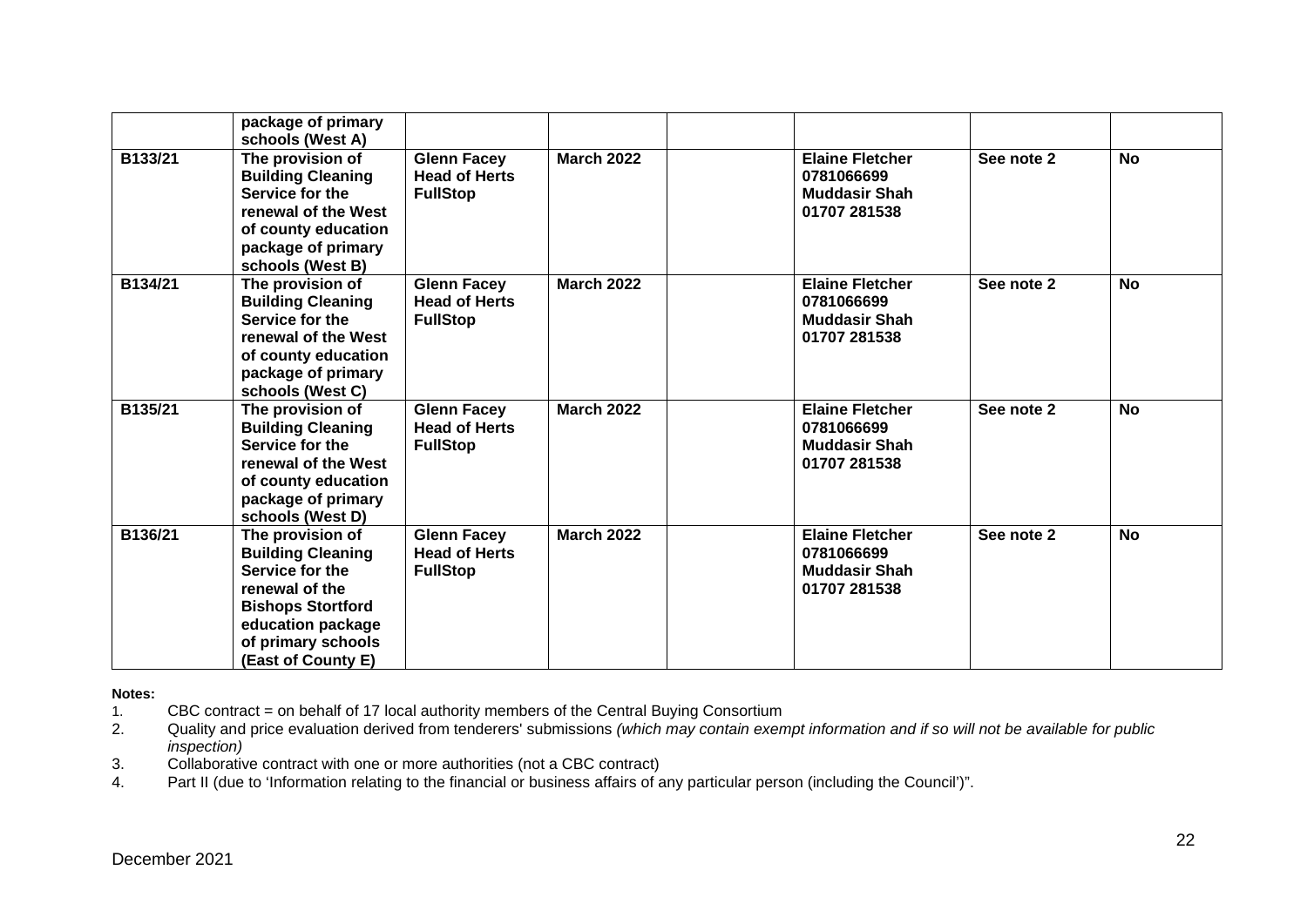|         | package of primary<br>schools (West A)                                                                                                                                         |                                                               |                   |                                                                              |            |           |
|---------|--------------------------------------------------------------------------------------------------------------------------------------------------------------------------------|---------------------------------------------------------------|-------------------|------------------------------------------------------------------------------|------------|-----------|
| B133/21 | The provision of<br><b>Building Cleaning</b><br>Service for the<br>renewal of the West<br>of county education<br>package of primary<br>schools (West B)                        | <b>Glenn Facey</b><br><b>Head of Herts</b><br><b>FullStop</b> | <b>March 2022</b> | <b>Elaine Fletcher</b><br>0781066699<br><b>Muddasir Shah</b><br>01707 281538 | See note 2 | <b>No</b> |
| B134/21 | The provision of<br><b>Building Cleaning</b><br>Service for the<br>renewal of the West<br>of county education<br>package of primary<br>schools (West C)                        | <b>Glenn Facey</b><br><b>Head of Herts</b><br><b>FullStop</b> | <b>March 2022</b> | <b>Elaine Fletcher</b><br>0781066699<br><b>Muddasir Shah</b><br>01707 281538 | See note 2 | <b>No</b> |
| B135/21 | The provision of<br><b>Building Cleaning</b><br>Service for the<br>renewal of the West<br>of county education<br>package of primary<br>schools (West D)                        | <b>Glenn Facey</b><br><b>Head of Herts</b><br><b>FullStop</b> | <b>March 2022</b> | <b>Elaine Fletcher</b><br>0781066699<br><b>Muddasir Shah</b><br>01707 281538 | See note 2 | <b>No</b> |
| B136/21 | The provision of<br><b>Building Cleaning</b><br>Service for the<br>renewal of the<br><b>Bishops Stortford</b><br>education package<br>of primary schools<br>(East of County E) | <b>Glenn Facey</b><br><b>Head of Herts</b><br><b>FullStop</b> | <b>March 2022</b> | <b>Elaine Fletcher</b><br>0781066699<br><b>Muddasir Shah</b><br>01707 281538 | See note 2 | No        |

**Notes:** 

1. CBC contract = on behalf of 17 local authority members of the Central Buying Consortium

2. Quality and price evaluation derived from tenderers' submissions *(which may contain exempt information and if so will not be available for public inspection)*

3. Collaborative contract with one or more authorities (not a CBC contract)<br>4. Part II (due to 'Information relating to the financial or business affairs of a

Part II (due to 'Information relating to the financial or business affairs of any particular person (including the Council')".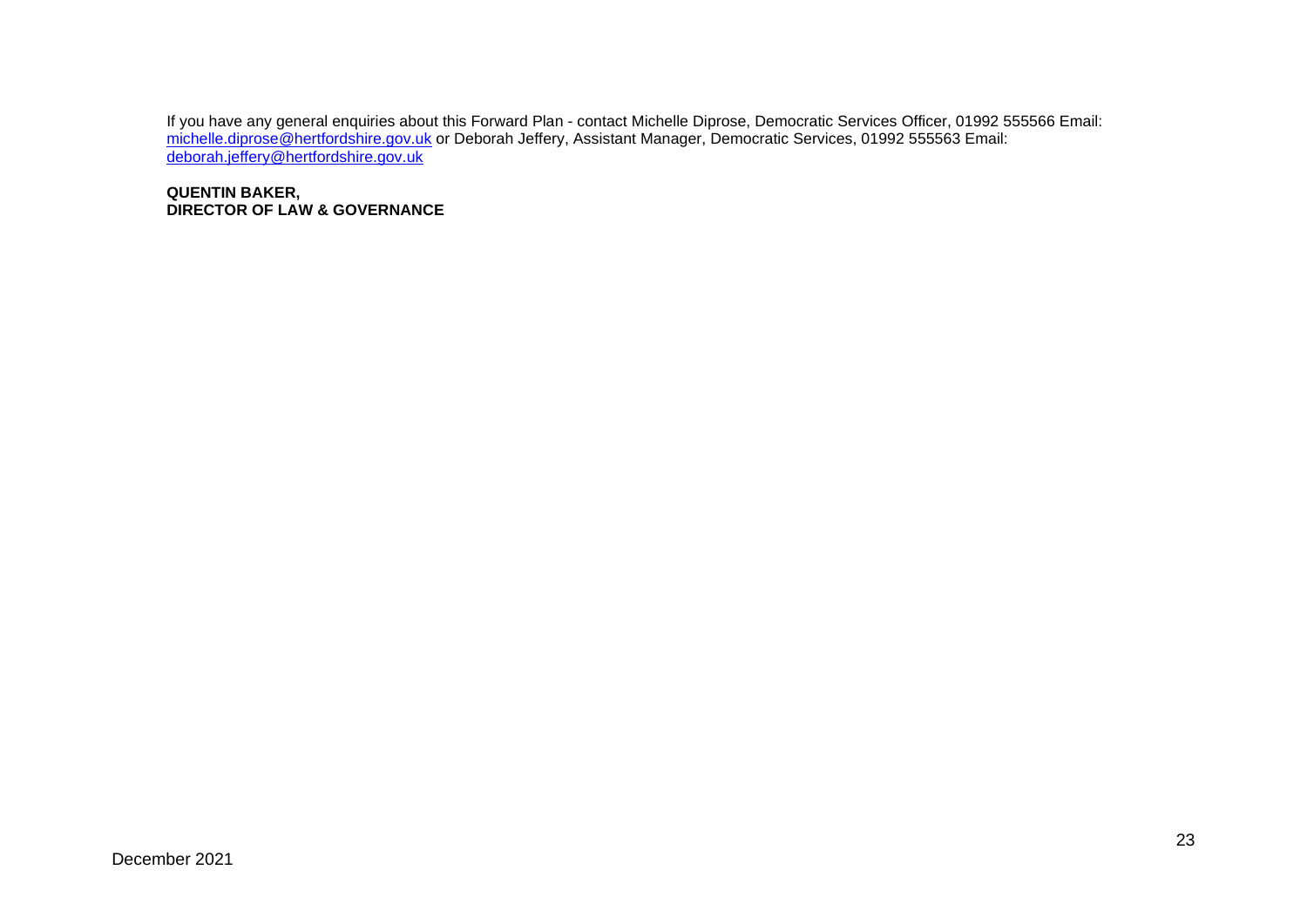If you have any general enquiries about this Forward Plan - contact Michelle Diprose, Democratic Services Officer, 01992 555566 Email: <u>michelle.diprose@hertfordshire.gov.uk</u> or Deborah Jeffery, Assistant Manager, Democratic Services, 01992 555563 Email: [deborah.jeffery@hertfordshire.gov.uk](mailto:deborah.jeffery@hertfordshire.gov.uk)

**QUENTIN BAKER, DIRECTOR OF LAW & GOVERNANCE**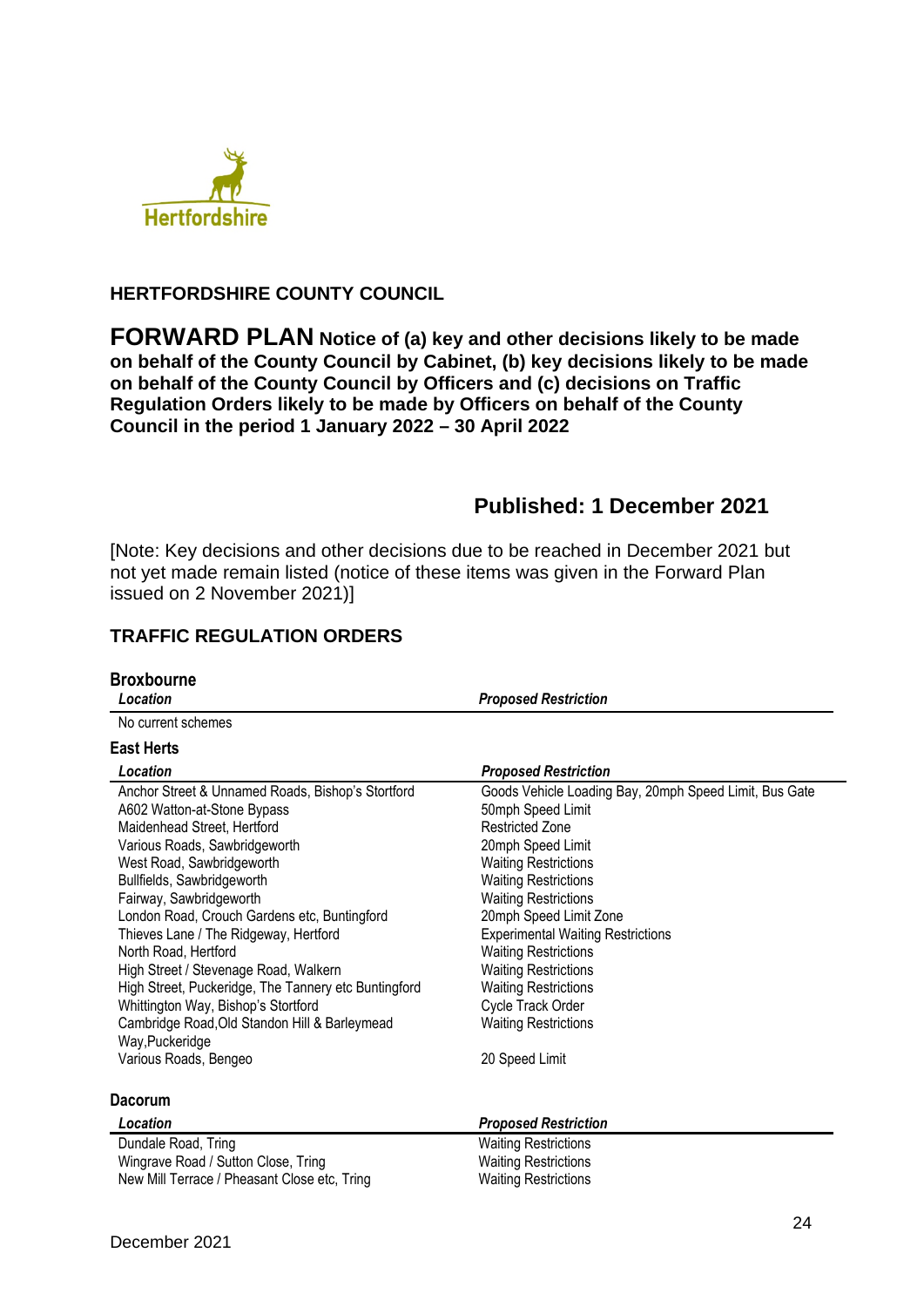

## **HERTFORDSHIRE COUNTY COUNCIL**

**FORWARD PLAN Notice of (a) key and other decisions likely to be made on behalf of the County Council by Cabinet, (b) key decisions likely to be made on behalf of the County Council by Officers and (c) decisions on Traffic Regulation Orders likely to be made by Officers on behalf of the County Council in the period 1 January 2022 – 30 April 2022** 

# **Published: 1 December 2021**

[Note: Key decisions and other decisions due to be reached in December 2021 but not yet made remain listed (notice of these items was given in the Forward Plan issued on 2 November 2021)]

## **TRAFFIC REGULATION ORDERS**

| <b>Broxbourne</b>                                                                                                                                                                                                                                                                                                                                                                                                                                                                               |                                                                                                                                                                                                                                                                                                                                                                                                                 |
|-------------------------------------------------------------------------------------------------------------------------------------------------------------------------------------------------------------------------------------------------------------------------------------------------------------------------------------------------------------------------------------------------------------------------------------------------------------------------------------------------|-----------------------------------------------------------------------------------------------------------------------------------------------------------------------------------------------------------------------------------------------------------------------------------------------------------------------------------------------------------------------------------------------------------------|
| Location                                                                                                                                                                                                                                                                                                                                                                                                                                                                                        | <b>Proposed Restriction</b>                                                                                                                                                                                                                                                                                                                                                                                     |
| No current schemes                                                                                                                                                                                                                                                                                                                                                                                                                                                                              |                                                                                                                                                                                                                                                                                                                                                                                                                 |
| <b>East Herts</b>                                                                                                                                                                                                                                                                                                                                                                                                                                                                               |                                                                                                                                                                                                                                                                                                                                                                                                                 |
| Location                                                                                                                                                                                                                                                                                                                                                                                                                                                                                        | <b>Proposed Restriction</b>                                                                                                                                                                                                                                                                                                                                                                                     |
| Anchor Street & Unnamed Roads, Bishop's Stortford<br>A602 Watton-at-Stone Bypass<br>Maidenhead Street, Hertford<br>Various Roads, Sawbridgeworth<br>West Road, Sawbridgeworth<br>Bullfields, Sawbridgeworth<br>Fairway, Sawbridgeworth<br>London Road, Crouch Gardens etc, Buntingford<br>Thieves Lane / The Ridgeway, Hertford<br>North Road, Hertford<br>High Street / Stevenage Road, Walkern<br>High Street, Puckeridge, The Tannery etc Buntingford<br>Whittington Way, Bishop's Stortford | Goods Vehicle Loading Bay, 20mph Speed Limit, Bus Gate<br>50mph Speed Limit<br><b>Restricted Zone</b><br>20mph Speed Limit<br><b>Waiting Restrictions</b><br><b>Waiting Restrictions</b><br><b>Waiting Restrictions</b><br>20mph Speed Limit Zone<br><b>Experimental Waiting Restrictions</b><br><b>Waiting Restrictions</b><br><b>Waiting Restrictions</b><br><b>Waiting Restrictions</b><br>Cycle Track Order |
| Cambridge Road, Old Standon Hill & Barleymead                                                                                                                                                                                                                                                                                                                                                                                                                                                   | <b>Waiting Restrictions</b>                                                                                                                                                                                                                                                                                                                                                                                     |
| Way, Puckeridge<br>Various Roads, Bengeo                                                                                                                                                                                                                                                                                                                                                                                                                                                        | 20 Speed Limit                                                                                                                                                                                                                                                                                                                                                                                                  |
| <b>Dacorum</b>                                                                                                                                                                                                                                                                                                                                                                                                                                                                                  |                                                                                                                                                                                                                                                                                                                                                                                                                 |
| Location                                                                                                                                                                                                                                                                                                                                                                                                                                                                                        | <b>Proposed Restriction</b>                                                                                                                                                                                                                                                                                                                                                                                     |
| Dundale Road, Tring<br>Wingrave Road / Sutton Close, Tring<br>New Mill Terrace / Pheasant Close etc, Tring                                                                                                                                                                                                                                                                                                                                                                                      | <b>Waiting Restrictions</b><br><b>Waiting Restrictions</b><br><b>Waiting Restrictions</b>                                                                                                                                                                                                                                                                                                                       |